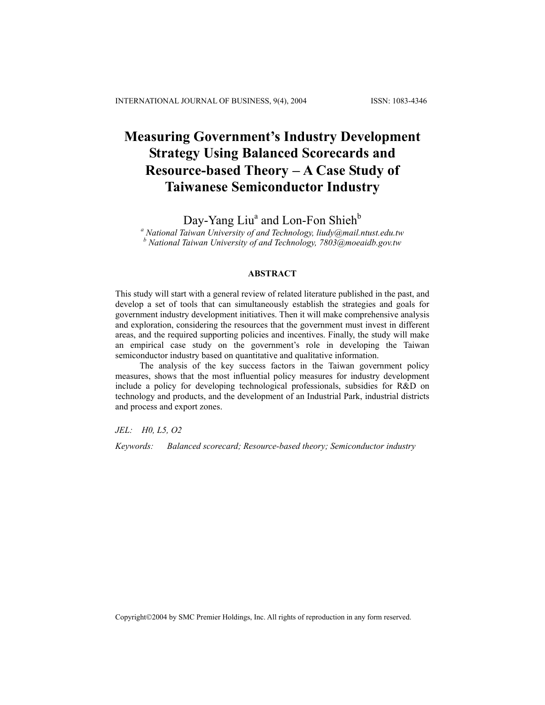# **Measuring Government's Industry Development Strategy Using Balanced Scorecards and Resource-based Theory** − **A Case Study of Taiwanese Semiconductor Industry**

Day-Yang Liu<sup>a</sup> and Lon-Fon Shieh<sup>b</sup>

*a National Taiwan University of and Technology, liudy@mail.ntust.edu.tw b National Taiwan University of and Technology, 7803@moeaidb.gov.tw*

## **ABSTRACT**

This study will start with a general review of related literature published in the past, and develop a set of tools that can simultaneously establish the strategies and goals for government industry development initiatives. Then it will make comprehensive analysis and exploration, considering the resources that the government must invest in different areas, and the required supporting policies and incentives. Finally, the study will make an empirical case study on the government's role in developing the Taiwan semiconductor industry based on quantitative and qualitative information.

The analysis of the key success factors in the Taiwan government policy measures, shows that the most influential policy measures for industry development include a policy for developing technological professionals, subsidies for R&D on technology and products, and the development of an Industrial Park, industrial districts and process and export zones.

*JEL: H0, L5, O2* 

*Keywords: Balanced scorecard; Resource-based theory; Semiconductor industry* 

Copyright©2004 by SMC Premier Holdings, Inc. All rights of reproduction in any form reserved.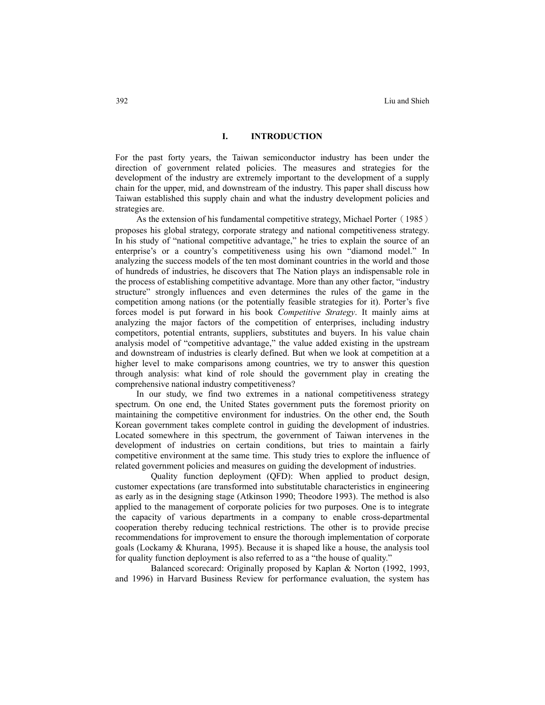#### **I. INTRODUCTION**

For the past forty years, the Taiwan semiconductor industry has been under the direction of government related policies. The measures and strategies for the development of the industry are extremely important to the development of a supply chain for the upper, mid, and downstream of the industry. This paper shall discuss how Taiwan established this supply chain and what the industry development policies and strategies are.

As the extension of his fundamental competitive strategy, Michael Porter (1985) proposes his global strategy, corporate strategy and national competitiveness strategy. In his study of "national competitive advantage," he tries to explain the source of an enterprise's or a country's competitiveness using his own "diamond model." In analyzing the success models of the ten most dominant countries in the world and those of hundreds of industries, he discovers that The Nation plays an indispensable role in the process of establishing competitive advantage. More than any other factor, "industry structure" strongly influences and even determines the rules of the game in the competition among nations (or the potentially feasible strategies for it). Porter's five forces model is put forward in his book *Competitive Strategy*. It mainly aims at analyzing the major factors of the competition of enterprises, including industry competitors, potential entrants, suppliers, substitutes and buyers. In his value chain analysis model of "competitive advantage," the value added existing in the upstream and downstream of industries is clearly defined. But when we look at competition at a higher level to make comparisons among countries, we try to answer this question through analysis: what kind of role should the government play in creating the comprehensive national industry competitiveness?

In our study, we find two extremes in a national competitiveness strategy spectrum. On one end, the United States government puts the foremost priority on maintaining the competitive environment for industries. On the other end, the South Korean government takes complete control in guiding the development of industries. Located somewhere in this spectrum, the government of Taiwan intervenes in the development of industries on certain conditions, but tries to maintain a fairly competitive environment at the same time. This study tries to explore the influence of related government policies and measures on guiding the development of industries.

Quality function deployment (QFD): When applied to product design, customer expectations (are transformed into substitutable characteristics in engineering as early as in the designing stage (Atkinson 1990; Theodore 1993). The method is also applied to the management of corporate policies for two purposes. One is to integrate the capacity of various departments in a company to enable cross-departmental cooperation thereby reducing technical restrictions. The other is to provide precise recommendations for improvement to ensure the thorough implementation of corporate goals (Lockamy & Khurana, 1995). Because it is shaped like a house, the analysis tool for quality function deployment is also referred to as a "the house of quality."

Balanced scorecard: Originally proposed by Kaplan & Norton (1992, 1993, and 1996) in Harvard Business Review for performance evaluation, the system has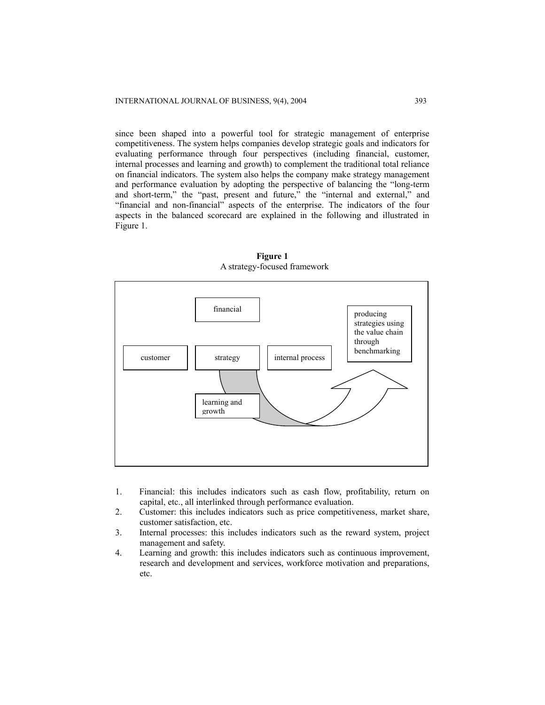since been shaped into a powerful tool for strategic management of enterprise competitiveness. The system helps companies develop strategic goals and indicators for evaluating performance through four perspectives (including financial, customer, internal processes and learning and growth) to complement the traditional total reliance on financial indicators. The system also helps the company make strategy management and performance evaluation by adopting the perspective of balancing the "long-term and short-term," the "past, present and future," the "internal and external," and "financial and non-financial" aspects of the enterprise. The indicators of the four aspects in the balanced scorecard are explained in the following and illustrated in Figure 1.



**Figure 1**  A strategy-focused framework

- 1. Financial: this includes indicators such as cash flow, profitability, return on capital, etc., all interlinked through performance evaluation.
- 2. Customer: this includes indicators such as price competitiveness, market share, customer satisfaction, etc.
- 3. Internal processes: this includes indicators such as the reward system, project management and safety.
- 4. Learning and growth: this includes indicators such as continuous improvement, research and development and services, workforce motivation and preparations, etc.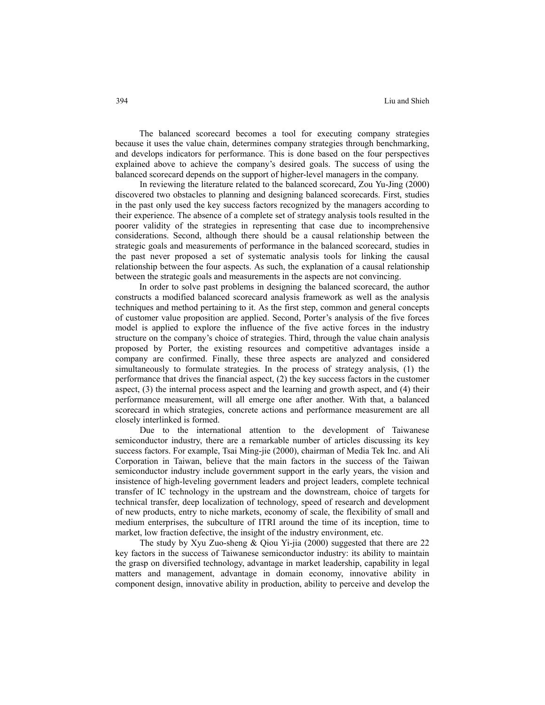The balanced scorecard becomes a tool for executing company strategies because it uses the value chain, determines company strategies through benchmarking, and develops indicators for performance. This is done based on the four perspectives explained above to achieve the company's desired goals. The success of using the balanced scorecard depends on the support of higher-level managers in the company.

In reviewing the literature related to the balanced scorecard, Zou Yu-Jing (2000) discovered two obstacles to planning and designing balanced scorecards. First, studies in the past only used the key success factors recognized by the managers according to their experience. The absence of a complete set of strategy analysis tools resulted in the poorer validity of the strategies in representing that case due to incomprehensive considerations. Second, although there should be a causal relationship between the strategic goals and measurements of performance in the balanced scorecard, studies in the past never proposed a set of systematic analysis tools for linking the causal relationship between the four aspects. As such, the explanation of a causal relationship between the strategic goals and measurements in the aspects are not convincing.

In order to solve past problems in designing the balanced scorecard, the author constructs a modified balanced scorecard analysis framework as well as the analysis techniques and method pertaining to it. As the first step, common and general concepts of customer value proposition are applied. Second, Porter's analysis of the five forces model is applied to explore the influence of the five active forces in the industry structure on the company's choice of strategies. Third, through the value chain analysis proposed by Porter, the existing resources and competitive advantages inside a company are confirmed. Finally, these three aspects are analyzed and considered simultaneously to formulate strategies. In the process of strategy analysis, (1) the performance that drives the financial aspect, (2) the key success factors in the customer aspect, (3) the internal process aspect and the learning and growth aspect, and (4) their performance measurement, will all emerge one after another. With that, a balanced scorecard in which strategies, concrete actions and performance measurement are all closely interlinked is formed.

Due to the international attention to the development of Taiwanese semiconductor industry, there are a remarkable number of articles discussing its key success factors. For example, Tsai Ming-jie (2000), chairman of Media Tek Inc. and Ali Corporation in Taiwan, believe that the main factors in the success of the Taiwan semiconductor industry include government support in the early years, the vision and insistence of high-leveling government leaders and project leaders, complete technical transfer of IC technology in the upstream and the downstream, choice of targets for technical transfer, deep localization of technology, speed of research and development of new products, entry to niche markets, economy of scale, the flexibility of small and medium enterprises, the subculture of ITRI around the time of its inception, time to market, low fraction defective, the insight of the industry environment, etc.

The study by Xyu Zuo-sheng & Qiou Yi-jia (2000) suggested that there are 22 key factors in the success of Taiwanese semiconductor industry: its ability to maintain the grasp on diversified technology, advantage in market leadership, capability in legal matters and management, advantage in domain economy, innovative ability in component design, innovative ability in production, ability to perceive and develop the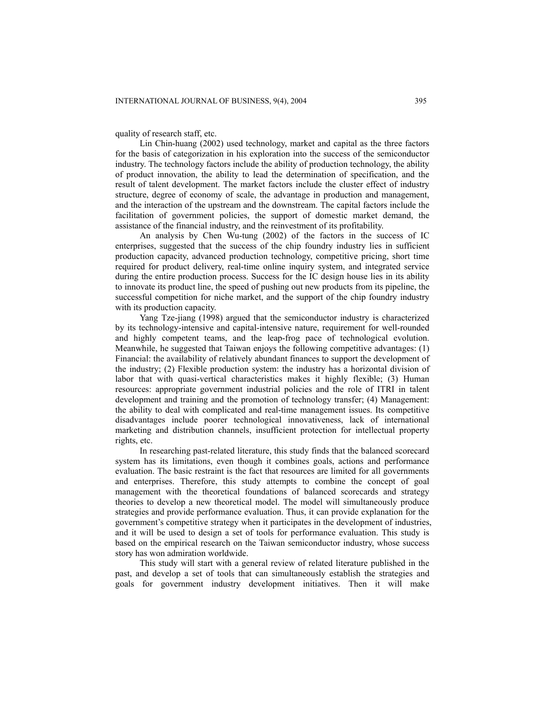quality of research staff, etc.

Lin Chin-huang (2002) used technology, market and capital as the three factors for the basis of categorization in his exploration into the success of the semiconductor industry. The technology factors include the ability of production technology, the ability of product innovation, the ability to lead the determination of specification, and the result of talent development. The market factors include the cluster effect of industry structure, degree of economy of scale, the advantage in production and management, and the interaction of the upstream and the downstream. The capital factors include the facilitation of government policies, the support of domestic market demand, the assistance of the financial industry, and the reinvestment of its profitability.

An analysis by Chen Wu-tung (2002) of the factors in the success of IC enterprises, suggested that the success of the chip foundry industry lies in sufficient production capacity, advanced production technology, competitive pricing, short time required for product delivery, real-time online inquiry system, and integrated service during the entire production process. Success for the IC design house lies in its ability to innovate its product line, the speed of pushing out new products from its pipeline, the successful competition for niche market, and the support of the chip foundry industry with its production capacity.

Yang Tze-jiang (1998) argued that the semiconductor industry is characterized by its technology-intensive and capital-intensive nature, requirement for well-rounded and highly competent teams, and the leap-frog pace of technological evolution. Meanwhile, he suggested that Taiwan enjoys the following competitive advantages: (1) Financial: the availability of relatively abundant finances to support the development of the industry; (2) Flexible production system: the industry has a horizontal division of labor that with quasi-vertical characteristics makes it highly flexible; (3) Human resources: appropriate government industrial policies and the role of ITRI in talent development and training and the promotion of technology transfer; (4) Management: the ability to deal with complicated and real-time management issues. Its competitive disadvantages include poorer technological innovativeness, lack of international marketing and distribution channels, insufficient protection for intellectual property rights, etc.

In researching past-related literature, this study finds that the balanced scorecard system has its limitations, even though it combines goals, actions and performance evaluation. The basic restraint is the fact that resources are limited for all governments and enterprises. Therefore, this study attempts to combine the concept of goal management with the theoretical foundations of balanced scorecards and strategy theories to develop a new theoretical model. The model will simultaneously produce strategies and provide performance evaluation. Thus, it can provide explanation for the government's competitive strategy when it participates in the development of industries, and it will be used to design a set of tools for performance evaluation. This study is based on the empirical research on the Taiwan semiconductor industry, whose success story has won admiration worldwide.

This study will start with a general review of related literature published in the past, and develop a set of tools that can simultaneously establish the strategies and goals for government industry development initiatives. Then it will make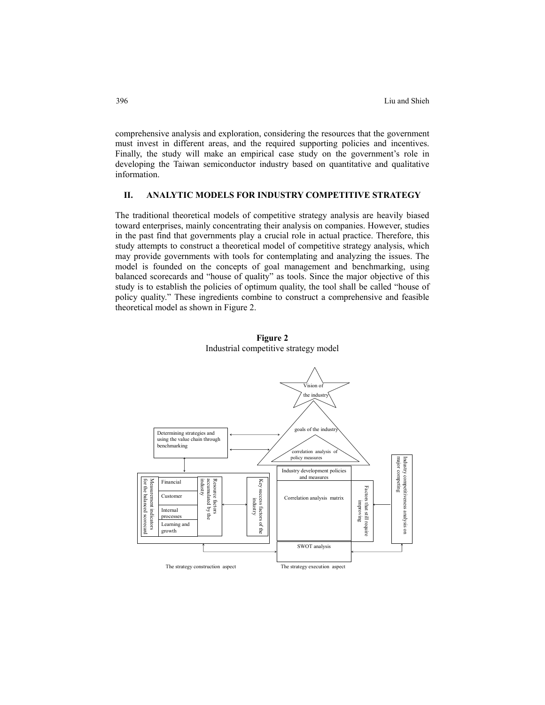comprehensive analysis and exploration, considering the resources that the government must invest in different areas, and the required supporting policies and incentives. Finally, the study will make an empirical case study on the government's role in developing the Taiwan semiconductor industry based on quantitative and qualitative information.

## **II. ANALYTIC MODELS FOR INDUSTRY COMPETITIVE STRATEGY**

The traditional theoretical models of competitive strategy analysis are heavily biased toward enterprises, mainly concentrating their analysis on companies. However, studies in the past find that governments play a crucial role in actual practice. Therefore, this study attempts to construct a theoretical model of competitive strategy analysis, which may provide governments with tools for contemplating and analyzing the issues. The model is founded on the concepts of goal management and benchmarking, using balanced scorecards and "house of quality" as tools. Since the major objective of this study is to establish the policies of optimum quality, the tool shall be called "house of policy quality." These ingredients combine to construct a comprehensive and feasible theoretical model as shown in Figure 2.



**Figure 2**  Industrial competitive strategy model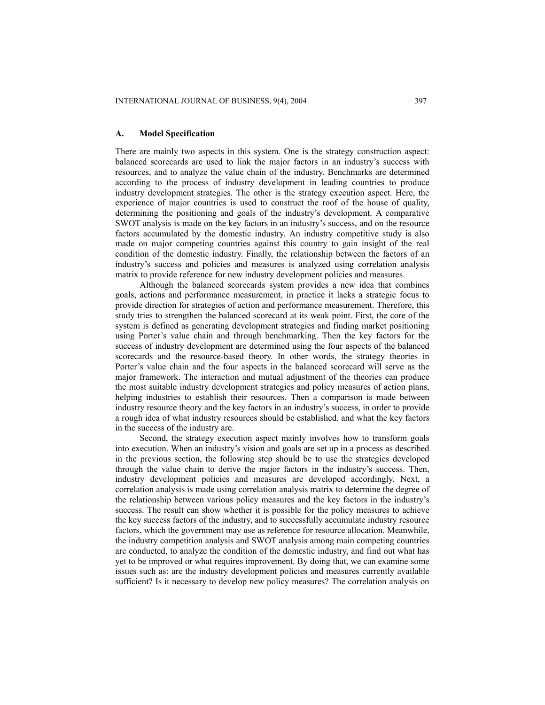#### **A. Model Specification**

There are mainly two aspects in this system. One is the strategy construction aspect: balanced scorecards are used to link the major factors in an industry's success with resources, and to analyze the value chain of the industry. Benchmarks are determined according to the process of industry development in leading countries to produce industry development strategies. The other is the strategy execution aspect. Here, the experience of major countries is used to construct the roof of the house of quality, determining the positioning and goals of the industry's development. A comparative SWOT analysis is made on the key factors in an industry's success, and on the resource factors accumulated by the domestic industry. An industry competitive study is also made on major competing countries against this country to gain insight of the real condition of the domestic industry. Finally, the relationship between the factors of an industry's success and policies and measures is analyzed using correlation analysis matrix to provide reference for new industry development policies and measures.

Although the balanced scorecards system provides a new idea that combines goals, actions and performance measurement, in practice it lacks a strategic focus to provide direction for strategies of action and performance measurement. Therefore, this study tries to strengthen the balanced scorecard at its weak point. First, the core of the system is defined as generating development strategies and finding market positioning using Porter's value chain and through benchmarking. Then the key factors for the success of industry development are determined using the four aspects of the balanced scorecards and the resource-based theory. In other words, the strategy theories in Porter's value chain and the four aspects in the balanced scorecard will serve as the major framework. The interaction and mutual adjustment of the theories can produce the most suitable industry development strategies and policy measures of action plans, helping industries to establish their resources. Then a comparison is made between industry resource theory and the key factors in an industry's success, in order to provide a rough idea of what industry resources should be established, and what the key factors in the success of the industry are.

Second, the strategy execution aspect mainly involves how to transform goals into execution. When an industry's vision and goals are set up in a process as described in the previous section, the following step should be to use the strategies developed through the value chain to derive the major factors in the industry's success. Then, industry development policies and measures are developed accordingly. Next, a correlation analysis is made using correlation analysis matrix to determine the degree of the relationship between various policy measures and the key factors in the industry's success. The result can show whether it is possible for the policy measures to achieve the key success factors of the industry, and to successfully accumulate industry resource factors, which the government may use as reference for resource allocation. Meanwhile, the industry competition analysis and SWOT analysis among main competing countries are conducted, to analyze the condition of the domestic industry, and find out what has yet to be improved or what requires improvement. By doing that, we can examine some issues such as: are the industry development policies and measures currently available sufficient? Is it necessary to develop new policy measures? The correlation analysis on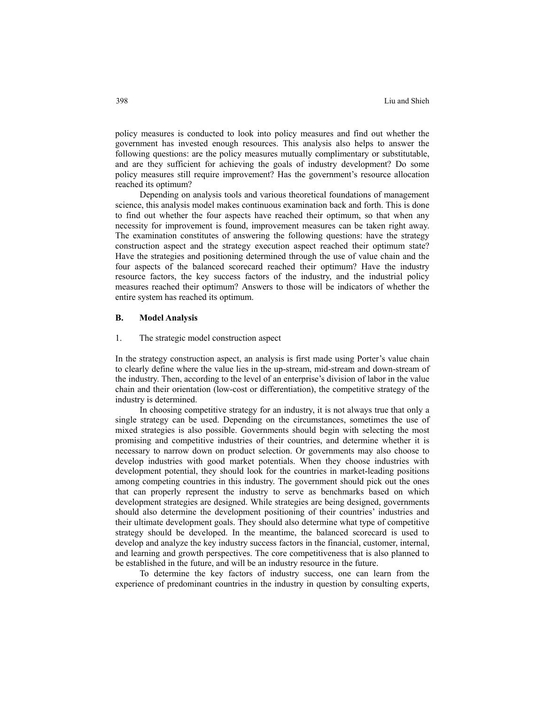policy measures is conducted to look into policy measures and find out whether the government has invested enough resources. This analysis also helps to answer the following questions: are the policy measures mutually complimentary or substitutable, and are they sufficient for achieving the goals of industry development? Do some policy measures still require improvement? Has the government's resource allocation reached its optimum?

Depending on analysis tools and various theoretical foundations of management science, this analysis model makes continuous examination back and forth. This is done to find out whether the four aspects have reached their optimum, so that when any necessity for improvement is found, improvement measures can be taken right away. The examination constitutes of answering the following questions: have the strategy construction aspect and the strategy execution aspect reached their optimum state? Have the strategies and positioning determined through the use of value chain and the four aspects of the balanced scorecard reached their optimum? Have the industry resource factors, the key success factors of the industry, and the industrial policy measures reached their optimum? Answers to those will be indicators of whether the entire system has reached its optimum.

#### **B. Model Analysis**

#### 1. The strategic model construction aspect

In the strategy construction aspect, an analysis is first made using Porter's value chain to clearly define where the value lies in the up-stream, mid-stream and down-stream of the industry. Then, according to the level of an enterprise's division of labor in the value chain and their orientation (low-cost or differentiation), the competitive strategy of the industry is determined.

In choosing competitive strategy for an industry, it is not always true that only a single strategy can be used. Depending on the circumstances, sometimes the use of mixed strategies is also possible. Governments should begin with selecting the most promising and competitive industries of their countries, and determine whether it is necessary to narrow down on product selection. Or governments may also choose to develop industries with good market potentials. When they choose industries with development potential, they should look for the countries in market-leading positions among competing countries in this industry. The government should pick out the ones that can properly represent the industry to serve as benchmarks based on which development strategies are designed. While strategies are being designed, governments should also determine the development positioning of their countries' industries and their ultimate development goals. They should also determine what type of competitive strategy should be developed. In the meantime, the balanced scorecard is used to develop and analyze the key industry success factors in the financial, customer, internal, and learning and growth perspectives. The core competitiveness that is also planned to be established in the future, and will be an industry resource in the future.

To determine the key factors of industry success, one can learn from the experience of predominant countries in the industry in question by consulting experts,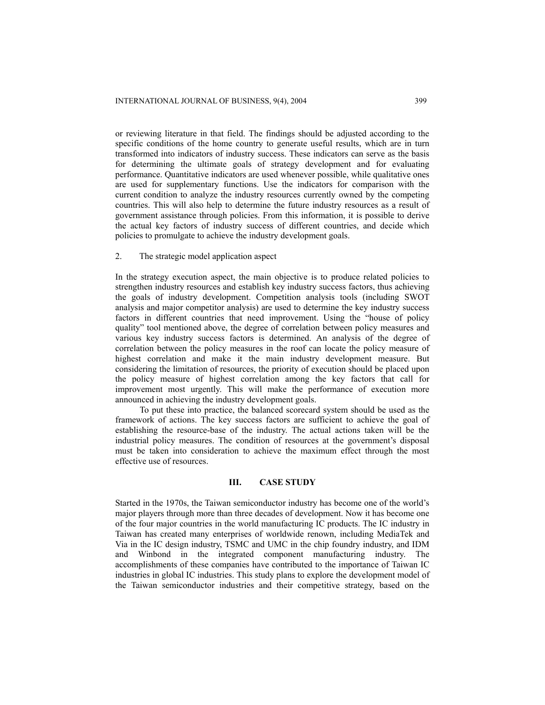or reviewing literature in that field. The findings should be adjusted according to the specific conditions of the home country to generate useful results, which are in turn transformed into indicators of industry success. These indicators can serve as the basis for determining the ultimate goals of strategy development and for evaluating performance. Quantitative indicators are used whenever possible, while qualitative ones are used for supplementary functions. Use the indicators for comparison with the current condition to analyze the industry resources currently owned by the competing countries. This will also help to determine the future industry resources as a result of government assistance through policies. From this information, it is possible to derive the actual key factors of industry success of different countries, and decide which policies to promulgate to achieve the industry development goals.

#### 2. The strategic model application aspect

In the strategy execution aspect, the main objective is to produce related policies to strengthen industry resources and establish key industry success factors, thus achieving the goals of industry development. Competition analysis tools (including SWOT analysis and major competitor analysis) are used to determine the key industry success factors in different countries that need improvement. Using the "house of policy quality" tool mentioned above, the degree of correlation between policy measures and various key industry success factors is determined. An analysis of the degree of correlation between the policy measures in the roof can locate the policy measure of highest correlation and make it the main industry development measure. But considering the limitation of resources, the priority of execution should be placed upon the policy measure of highest correlation among the key factors that call for improvement most urgently. This will make the performance of execution more announced in achieving the industry development goals.

To put these into practice, the balanced scorecard system should be used as the framework of actions. The key success factors are sufficient to achieve the goal of establishing the resource-base of the industry. The actual actions taken will be the industrial policy measures. The condition of resources at the government's disposal must be taken into consideration to achieve the maximum effect through the most effective use of resources.

#### **III. CASE STUDY**

Started in the 1970s, the Taiwan semiconductor industry has become one of the world's major players through more than three decades of development. Now it has become one of the four major countries in the world manufacturing IC products. The IC industry in Taiwan has created many enterprises of worldwide renown, including MediaTek and Via in the IC design industry, TSMC and UMC in the chip foundry industry, and IDM and Winbond in the integrated component manufacturing industry. The accomplishments of these companies have contributed to the importance of Taiwan IC industries in global IC industries. This study plans to explore the development model of the Taiwan semiconductor industries and their competitive strategy, based on the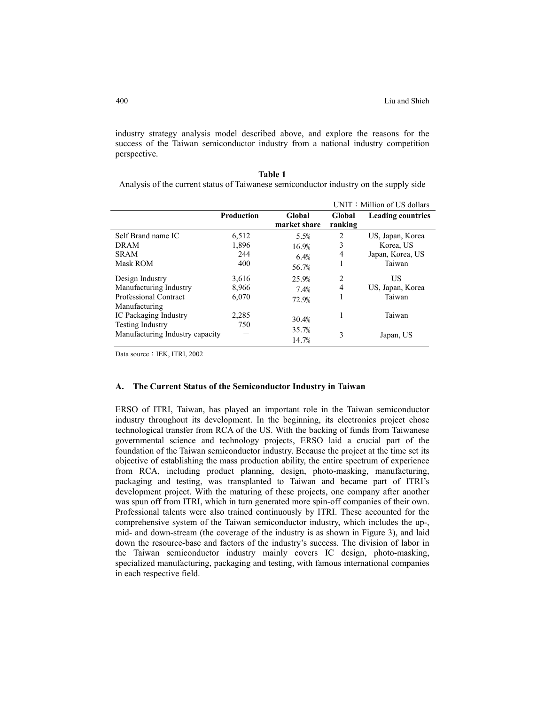industry strategy analysis model described above, and explore the reasons for the success of the Taiwan semiconductor industry from a national industry competition perspective.

| <b>Table 1</b>                                                                        |
|---------------------------------------------------------------------------------------|
| Analysis of the current status of Taiwanese semiconductor industry on the supply side |

|                                                                                                      |                              |                                |                                  | UNIT: Million of US dollars                                 |
|------------------------------------------------------------------------------------------------------|------------------------------|--------------------------------|----------------------------------|-------------------------------------------------------------|
|                                                                                                      | <b>Production</b>            | Global<br>market share         | Global<br>ranking                | <b>Leading countries</b>                                    |
| Self Brand name IC<br>DRAM<br><b>SRAM</b><br>Mask ROM                                                | 6,512<br>1,896<br>244<br>400 | 5.5%<br>16.9%<br>6.4%<br>56.7% | 2<br>3<br>4                      | US, Japan, Korea<br>Korea, US<br>Japan, Korea, US<br>Taiwan |
| Design Industry<br>Manufacturing Industry<br><b>Professional Contract</b>                            | 3,616<br>8,966<br>6,070      | 25.9%<br>7.4%<br>72.9%         | $\overline{c}$<br>$\overline{4}$ | US<br>US, Japan, Korea<br>Taiwan                            |
| Manufacturing<br>IC Packaging Industry<br><b>Testing Industry</b><br>Manufacturing Industry capacity | 2,285<br>750                 | 30.4%<br>35.7%<br>14.7%        | ш<br>3                           | Taiwan<br>Japan, US                                         |

Data source: IEK, ITRI, 2002

## **A. The Current Status of the Semiconductor Industry in Taiwan**

ERSO of ITRI, Taiwan, has played an important role in the Taiwan semiconductor industry throughout its development. In the beginning, its electronics project chose technological transfer from RCA of the US. With the backing of funds from Taiwanese governmental science and technology projects, ERSO laid a crucial part of the foundation of the Taiwan semiconductor industry. Because the project at the time set its objective of establishing the mass production ability, the entire spectrum of experience from RCA, including product planning, design, photo-masking, manufacturing, packaging and testing, was transplanted to Taiwan and became part of ITRI's development project. With the maturing of these projects, one company after another was spun off from ITRI, which in turn generated more spin-off companies of their own. Professional talents were also trained continuously by ITRI. These accounted for the comprehensive system of the Taiwan semiconductor industry, which includes the up-, mid- and down-stream (the coverage of the industry is as shown in Figure 3), and laid down the resource-base and factors of the industry's success. The division of labor in the Taiwan semiconductor industry mainly covers IC design, photo-masking, specialized manufacturing, packaging and testing, with famous international companies in each respective field.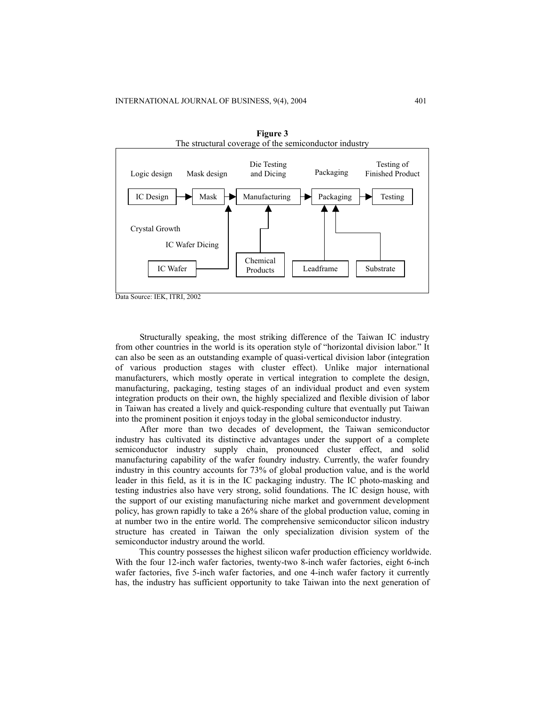

**Figure 3** 

Structurally speaking, the most striking difference of the Taiwan IC industry from other countries in the world is its operation style of "horizontal division labor." It can also be seen as an outstanding example of quasi-vertical division labor (integration of various production stages with cluster effect). Unlike major international manufacturers, which mostly operate in vertical integration to complete the design, manufacturing, packaging, testing stages of an individual product and even system integration products on their own, the highly specialized and flexible division of labor in Taiwan has created a lively and quick-responding culture that eventually put Taiwan into the prominent position it enjoys today in the global semiconductor industry.

After more than two decades of development, the Taiwan semiconductor industry has cultivated its distinctive advantages under the support of a complete semiconductor industry supply chain, pronounced cluster effect, and solid manufacturing capability of the wafer foundry industry. Currently, the wafer foundry industry in this country accounts for 73% of global production value, and is the world leader in this field, as it is in the IC packaging industry. The IC photo-masking and testing industries also have very strong, solid foundations. The IC design house, with the support of our existing manufacturing niche market and government development policy, has grown rapidly to take a 26% share of the global production value, coming in at number two in the entire world. The comprehensive semiconductor silicon industry structure has created in Taiwan the only specialization division system of the semiconductor industry around the world.

This country possesses the highest silicon wafer production efficiency worldwide. With the four 12-inch wafer factories, twenty-two 8-inch wafer factories, eight 6-inch wafer factories, five 5-inch wafer factories, and one 4-inch wafer factory it currently has, the industry has sufficient opportunity to take Taiwan into the next generation of

Data Source: IEK, ITRI, 2002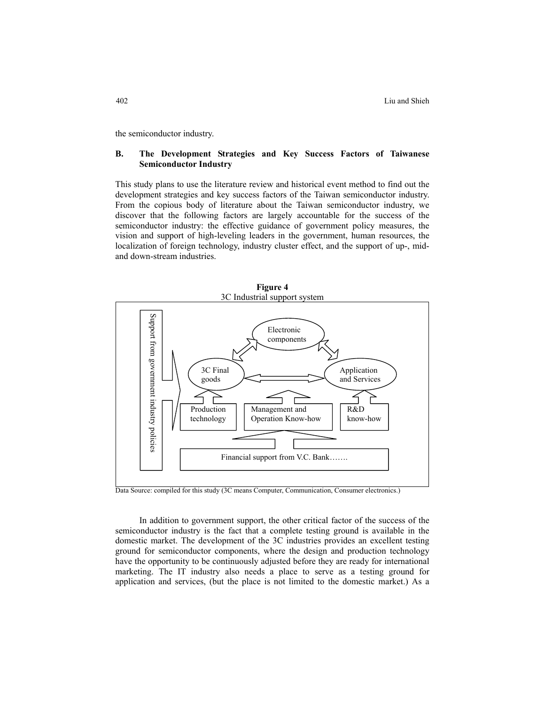the semiconductor industry.

## **B. The Development Strategies and Key Success Factors of Taiwanese Semiconductor Industry**

This study plans to use the literature review and historical event method to find out the development strategies and key success factors of the Taiwan semiconductor industry. From the copious body of literature about the Taiwan semiconductor industry, we discover that the following factors are largely accountable for the success of the semiconductor industry: the effective guidance of government policy measures, the vision and support of high-leveling leaders in the government, human resources, the localization of foreign technology, industry cluster effect, and the support of up-, midand down-stream industries.



Data Source: compiled for this study (3C means Computer, Communication, Consumer electronics.)

In addition to government support, the other critical factor of the success of the semiconductor industry is the fact that a complete testing ground is available in the domestic market. The development of the 3C industries provides an excellent testing ground for semiconductor components, where the design and production technology have the opportunity to be continuously adjusted before they are ready for international marketing. The IT industry also needs a place to serve as a testing ground for application and services, (but the place is not limited to the domestic market.) As a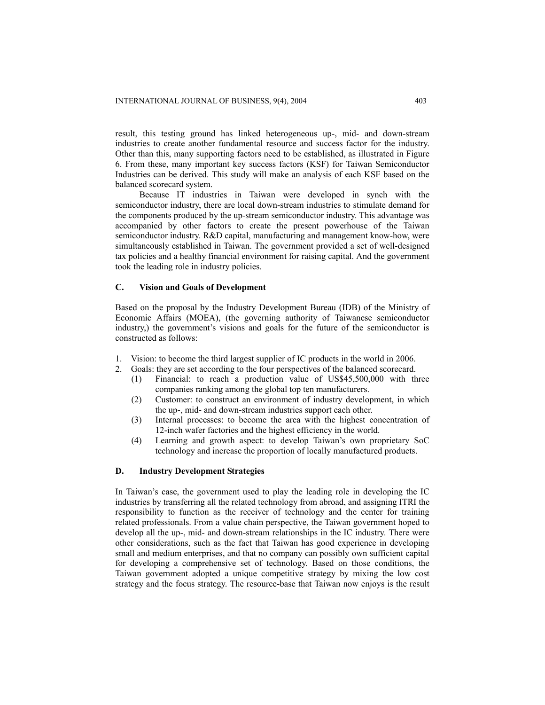result, this testing ground has linked heterogeneous up-, mid- and down-stream industries to create another fundamental resource and success factor for the industry. Other than this, many supporting factors need to be established, as illustrated in Figure 6. From these, many important key success factors (KSF) for Taiwan Semiconductor Industries can be derived. This study will make an analysis of each KSF based on the balanced scorecard system.

Because IT industries in Taiwan were developed in synch with the semiconductor industry, there are local down-stream industries to stimulate demand for the components produced by the up-stream semiconductor industry. This advantage was accompanied by other factors to create the present powerhouse of the Taiwan semiconductor industry. R&D capital, manufacturing and management know-how, were simultaneously established in Taiwan. The government provided a set of well-designed tax policies and a healthy financial environment for raising capital. And the government took the leading role in industry policies.

#### **C. Vision and Goals of Development**

Based on the proposal by the Industry Development Bureau (IDB) of the Ministry of Economic Affairs (MOEA), (the governing authority of Taiwanese semiconductor industry,) the government's visions and goals for the future of the semiconductor is constructed as follows:

- 1. Vision: to become the third largest supplier of IC products in the world in 2006.
- 2. Goals: they are set according to the four perspectives of the balanced scorecard.
	- (1) Financial: to reach a production value of US\$45,500,000 with three companies ranking among the global top ten manufacturers.
	- (2) Customer: to construct an environment of industry development, in which the up-, mid- and down-stream industries support each other.
	- (3) Internal processes: to become the area with the highest concentration of 12-inch wafer factories and the highest efficiency in the world.
	- (4) Learning and growth aspect: to develop Taiwan's own proprietary SoC technology and increase the proportion of locally manufactured products.

## **D. Industry Development Strategies**

In Taiwan's case, the government used to play the leading role in developing the IC industries by transferring all the related technology from abroad, and assigning ITRI the responsibility to function as the receiver of technology and the center for training related professionals. From a value chain perspective, the Taiwan government hoped to develop all the up-, mid- and down-stream relationships in the IC industry. There were other considerations, such as the fact that Taiwan has good experience in developing small and medium enterprises, and that no company can possibly own sufficient capital for developing a comprehensive set of technology. Based on those conditions, the Taiwan government adopted a unique competitive strategy by mixing the low cost strategy and the focus strategy. The resource-base that Taiwan now enjoys is the result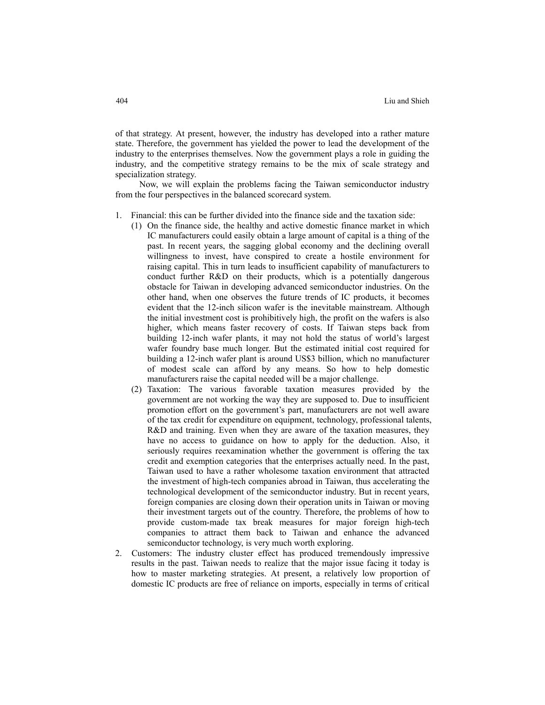of that strategy. At present, however, the industry has developed into a rather mature state. Therefore, the government has yielded the power to lead the development of the industry to the enterprises themselves. Now the government plays a role in guiding the industry, and the competitive strategy remains to be the mix of scale strategy and specialization strategy.

Now, we will explain the problems facing the Taiwan semiconductor industry from the four perspectives in the balanced scorecard system.

- 1. Financial: this can be further divided into the finance side and the taxation side:
	- (1) On the finance side, the healthy and active domestic finance market in which IC manufacturers could easily obtain a large amount of capital is a thing of the past. In recent years, the sagging global economy and the declining overall willingness to invest, have conspired to create a hostile environment for raising capital. This in turn leads to insufficient capability of manufacturers to conduct further R&D on their products, which is a potentially dangerous obstacle for Taiwan in developing advanced semiconductor industries. On the other hand, when one observes the future trends of IC products, it becomes evident that the 12-inch silicon wafer is the inevitable mainstream. Although the initial investment cost is prohibitively high, the profit on the wafers is also higher, which means faster recovery of costs. If Taiwan steps back from building 12-inch wafer plants, it may not hold the status of world's largest wafer foundry base much longer. But the estimated initial cost required for building a 12-inch wafer plant is around US\$3 billion, which no manufacturer of modest scale can afford by any means. So how to help domestic manufacturers raise the capital needed will be a major challenge.
	- (2) Taxation: The various favorable taxation measures provided by the government are not working the way they are supposed to. Due to insufficient promotion effort on the government's part, manufacturers are not well aware of the tax credit for expenditure on equipment, technology, professional talents, R&D and training. Even when they are aware of the taxation measures, they have no access to guidance on how to apply for the deduction. Also, it seriously requires reexamination whether the government is offering the tax credit and exemption categories that the enterprises actually need. In the past, Taiwan used to have a rather wholesome taxation environment that attracted the investment of high-tech companies abroad in Taiwan, thus accelerating the technological development of the semiconductor industry. But in recent years, foreign companies are closing down their operation units in Taiwan or moving their investment targets out of the country. Therefore, the problems of how to provide custom-made tax break measures for major foreign high-tech companies to attract them back to Taiwan and enhance the advanced semiconductor technology, is very much worth exploring.
- 2. Customers: The industry cluster effect has produced tremendously impressive results in the past. Taiwan needs to realize that the major issue facing it today is how to master marketing strategies. At present, a relatively low proportion of domestic IC products are free of reliance on imports, especially in terms of critical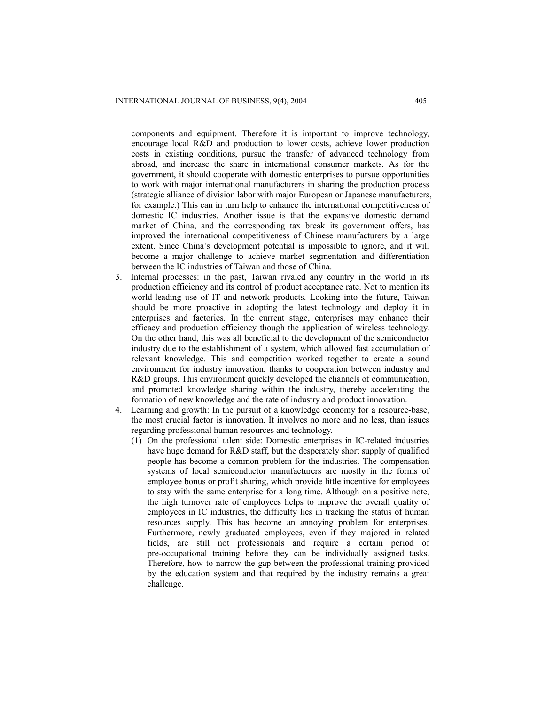components and equipment. Therefore it is important to improve technology, encourage local R&D and production to lower costs, achieve lower production costs in existing conditions, pursue the transfer of advanced technology from abroad, and increase the share in international consumer markets. As for the government, it should cooperate with domestic enterprises to pursue opportunities to work with major international manufacturers in sharing the production process (strategic alliance of division labor with major European or Japanese manufacturers, for example.) This can in turn help to enhance the international competitiveness of domestic IC industries. Another issue is that the expansive domestic demand market of China, and the corresponding tax break its government offers, has improved the international competitiveness of Chinese manufacturers by a large extent. Since China's development potential is impossible to ignore, and it will become a major challenge to achieve market segmentation and differentiation between the IC industries of Taiwan and those of China.

- 3. Internal processes: in the past, Taiwan rivaled any country in the world in its production efficiency and its control of product acceptance rate. Not to mention its world-leading use of IT and network products. Looking into the future, Taiwan should be more proactive in adopting the latest technology and deploy it in enterprises and factories. In the current stage, enterprises may enhance their efficacy and production efficiency though the application of wireless technology. On the other hand, this was all beneficial to the development of the semiconductor industry due to the establishment of a system, which allowed fast accumulation of relevant knowledge. This and competition worked together to create a sound environment for industry innovation, thanks to cooperation between industry and R&D groups. This environment quickly developed the channels of communication, and promoted knowledge sharing within the industry, thereby accelerating the formation of new knowledge and the rate of industry and product innovation.
- 4. Learning and growth: In the pursuit of a knowledge economy for a resource-base, the most crucial factor is innovation. It involves no more and no less, than issues regarding professional human resources and technology.
	- (1) On the professional talent side: Domestic enterprises in IC-related industries have huge demand for R&D staff, but the desperately short supply of qualified people has become a common problem for the industries. The compensation systems of local semiconductor manufacturers are mostly in the forms of employee bonus or profit sharing, which provide little incentive for employees to stay with the same enterprise for a long time. Although on a positive note, the high turnover rate of employees helps to improve the overall quality of employees in IC industries, the difficulty lies in tracking the status of human resources supply. This has become an annoying problem for enterprises. Furthermore, newly graduated employees, even if they majored in related fields, are still not professionals and require a certain period of pre-occupational training before they can be individually assigned tasks. Therefore, how to narrow the gap between the professional training provided by the education system and that required by the industry remains a great challenge.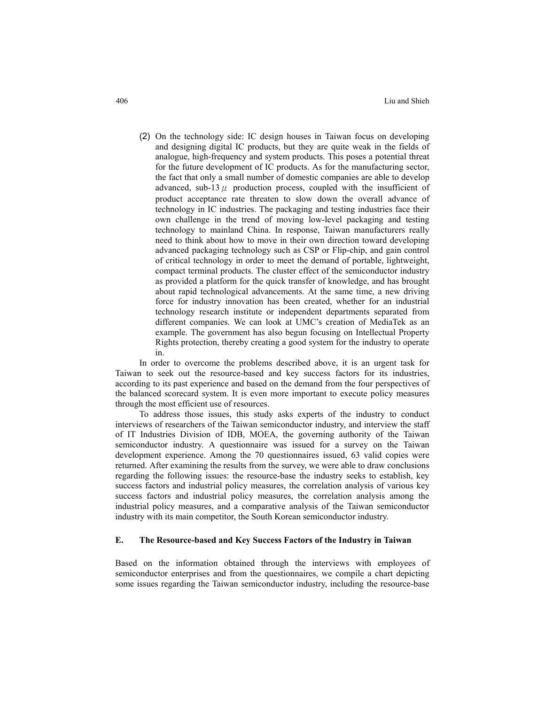(2) On the technology side: IC design houses in Taiwan focus on developing and designing digital IC products, but they are quite weak in the fields of analogue, high-frequency and system products. This poses a potential threat for the future development of IC products. As for the manufacturing sector, the fact that only a small number of domestic companies are able to develop advanced, sub-13 $\mu$  production process, coupled with the insufficient of product acceptance rate threaten to slow down the overall advance of technology in IC industries. The packaging and testing industries face their own challenge in the trend of moving low-level packaging and testing technology to mainland China. In response, Taiwan manufacturers really need to think about how to move in their own direction toward developing advanced packaging technology such as CSP or Flip-chip, and gain control of critical technology in order to meet the demand of portable, lightweight, compact terminal products. The cluster effect of the semiconductor industry as provided a platform for the quick transfer of knowledge, and has brought about rapid technological advancements. At the same time, a new driving force for industry innovation has been created, whether for an industrial technology research institute or independent departments separated from different companies. We can look at UMC's creation of MediaTek as an example. The government has also begun focusing on Intellectual Property Rights protection, thereby creating a good system for the industry to operate in.

In order to overcome the problems described above, it is an urgent task for Taiwan to seek out the resource-based and key success factors for its industries, according to its past experience and based on the demand from the four perspectives of the balanced scorecard system. It is even more important to execute policy measures through the most efficient use of resources.

To address those issues, this study asks experts of the industry to conduct interviews of researchers of the Taiwan semiconductor industry, and interview the staff of IT Industries Division of IDB, MOEA, the governing authority of the Taiwan semiconductor industry. A questionnaire was issued for a survey on the Taiwan development experience. Among the 70 questionnaires issued, 63 valid copies were returned. After examining the results from the survey, we were able to draw conclusions regarding the following issues: the resource-base the industry seeks to establish, key success factors and industrial policy measures, the correlation analysis of various key success factors and industrial policy measures, the correlation analysis among the industrial policy measures, and a comparative analysis of the Taiwan semiconductor industry with its main competitor, the South Korean semiconductor industry.

## **E. The Resource-based and Key Success Factors of the Industry in Taiwan**

Based on the information obtained through the interviews with employees of semiconductor enterprises and from the questionnaires, we compile a chart depicting some issues regarding the Taiwan semiconductor industry, including the resource-base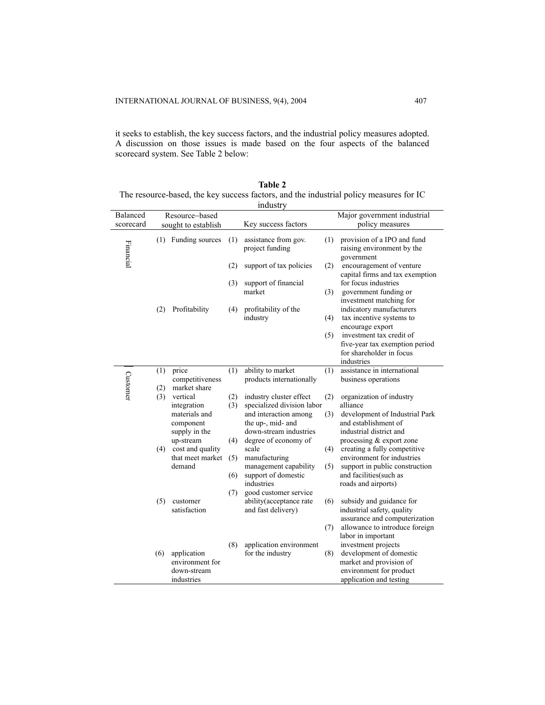it seeks to establish, the key success factors, and the industrial policy measures adopted. A discussion on those issues is made based on the four aspects of the balanced scorecard system. See Table 2 below:

| Table 2                                                                                |
|----------------------------------------------------------------------------------------|
| The resource-based, the key success factors, and the industrial policy measures for IC |
| industry                                                                               |

|           |                |                                 |     | muusu y                                 |     |                                                                         |
|-----------|----------------|---------------------------------|-----|-----------------------------------------|-----|-------------------------------------------------------------------------|
| Balanced  | Resource-based |                                 |     |                                         |     | Major government industrial                                             |
| scorecard |                | sought to establish             |     | Key success factors                     |     | policy measures                                                         |
| Financial |                | (1) Funding sources             | (1) | assistance from gov.<br>project funding | (1) | provision of a IPO and fund<br>raising environment by the<br>government |
|           |                |                                 | (2) | support of tax policies                 | (2) | encouragement of venture<br>capital firms and tax exemption             |
|           |                |                                 | (3) | support of financial                    |     | for focus industries                                                    |
|           |                |                                 |     | market                                  | (3) | government funding or                                                   |
|           |                |                                 |     |                                         |     | investment matching for                                                 |
|           | (2)            | Profitability                   | (4) | profitability of the                    |     | indicatory manufacturers                                                |
|           |                |                                 |     | industry                                | (4) | tax incentive systems to                                                |
|           |                |                                 |     |                                         |     | encourage export                                                        |
|           |                |                                 |     |                                         | (5) | investment tax credit of                                                |
|           |                |                                 |     |                                         |     | five-year tax exemption period                                          |
|           |                |                                 |     |                                         |     | for shareholder in focus                                                |
|           |                |                                 |     |                                         |     | industries                                                              |
|           | (1)            | price                           | (1) | ability to market                       | (1) | assistance in international                                             |
| Customer  | (2)            | competitiveness<br>market share |     | products internationally                |     | business operations                                                     |
|           | (3)            | vertical                        | (2) | industry cluster effect                 | (2) | organization of industry                                                |
|           |                | integration                     | (3) | specialized division labor              |     | alliance                                                                |
|           |                | materials and                   |     | and interaction among                   | (3) | development of Industrial Park                                          |
|           |                | component                       |     | the up-, mid- and                       |     | and establishment of                                                    |
|           |                | supply in the                   |     | down-stream industries                  |     | industrial district and                                                 |
|           |                | up-stream                       | (4) | degree of economy of                    |     | processing & export zone                                                |
|           | (4)            | cost and quality                |     | scale                                   | (4) | creating a fully competitive                                            |
|           |                | that meet market                | (5) | manufacturing                           |     | environment for industries                                              |
|           |                | demand                          |     | management capability                   | (5) | support in public construction                                          |
|           |                |                                 | (6) | support of domestic                     |     | and facilities(such as                                                  |
|           |                |                                 |     | industries                              |     | roads and airports)                                                     |
|           |                |                                 | (7) | good customer service                   |     |                                                                         |
|           | (5)            | customer<br>satisfaction        |     | ability(acceptance rate                 | (6) | subsidy and guidance for                                                |
|           |                |                                 |     | and fast delivery)                      |     | industrial safety, quality<br>assurance and computerization             |
|           |                |                                 |     |                                         | (7) | allowance to introduce foreign                                          |
|           |                |                                 |     |                                         |     | labor in important                                                      |
|           |                |                                 | (8) | application environment                 |     | investment projects                                                     |
|           | (6)            | application                     |     | for the industry                        | (8) | development of domestic                                                 |
|           |                | environment for                 |     |                                         |     | market and provision of                                                 |
|           |                | down-stream                     |     |                                         |     | environment for product                                                 |
|           |                | industries                      |     |                                         |     | application and testing                                                 |
|           |                |                                 |     |                                         |     |                                                                         |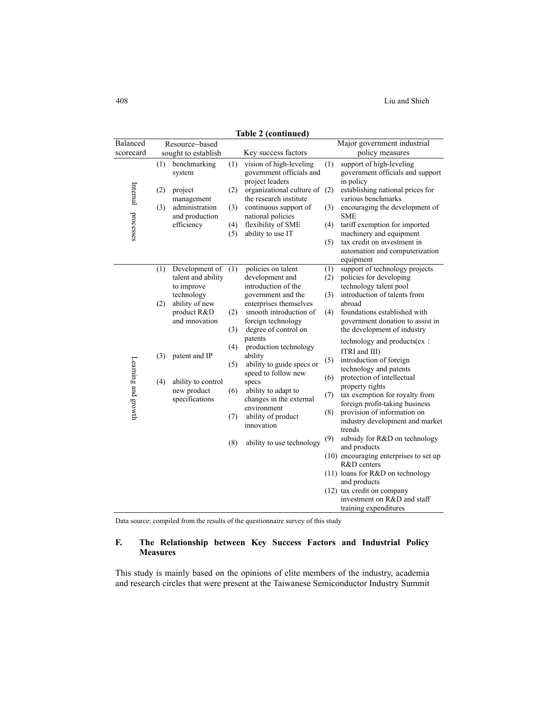408 Liu and Shieh

| Balanced            |                      | Resource-based                                     |                                                  | таріє 2 (continueu)                                                    |                                                   | Major government industrial                                                         |
|---------------------|----------------------|----------------------------------------------------|--------------------------------------------------|------------------------------------------------------------------------|---------------------------------------------------|-------------------------------------------------------------------------------------|
| scorecard           |                      | sought to establish                                |                                                  | Key success factors                                                    |                                                   | policy measures                                                                     |
|                     | (1)                  | benchmarking<br>system                             | (1)                                              | vision of high-leveling<br>government officials and<br>project leaders | (1)                                               | support of high-leveling<br>government officials and support<br>in policy           |
| Internal processes  | (2)                  | project<br>management                              | (2)                                              | organizational culture of (2)<br>the research institute                |                                                   | establishing national prices for<br>various benchmarks                              |
|                     | (3)                  | administration<br>and production                   | (3)                                              | continuous support of<br>national policies                             | (3)                                               | encouraging the development of<br><b>SME</b>                                        |
|                     |                      | efficiency                                         | (4)<br>(5)                                       | flexibility of SME<br>ability to use IT                                | (4)                                               | tariff exemption for imported<br>machinery and equipment                            |
|                     |                      |                                                    |                                                  |                                                                        | (5)                                               | tax credit on investment in<br>automation and computerization<br>equipment          |
|                     | (1)                  | Development of<br>talent and ability<br>to improve | (1)                                              | policies on talent<br>development and<br>introduction of the           | (1)<br>(2)                                        | support of technology projects<br>policies for developing<br>technology talent pool |
|                     | (2)                  | technology<br>ability of new                       |                                                  | government and the<br>enterprises themselves                           | (3)                                               | introduction of talents from<br>abroad                                              |
|                     |                      | product R&D<br>and innovation                      | (2)                                              | smooth introduction of<br>foreign technology                           | (4)                                               | foundations established with<br>government donation to assist in                    |
|                     | patent and IP<br>(3) |                                                    | (3)                                              | degree of control on<br>patents                                        |                                                   | the development of industry<br>technology and products(ex:                          |
|                     |                      |                                                    | (4)                                              | production technology<br>ability                                       |                                                   | ITRI and III)                                                                       |
| Learning and growth |                      | (5)                                                | ability to guide specs or<br>speed to follow new | (5)                                                                    | introduction of foreign<br>technology and patents |                                                                                     |
|                     | (4)                  | ability to control<br>new product                  | (6)                                              | specs<br>ability to adapt to                                           | (6)                                               | protection of intellectual<br>property rights                                       |
|                     |                      | specifications                                     |                                                  | changes in the external<br>environment                                 | (7)                                               | tax exemption for royalty from<br>foreign profit-taking business                    |
|                     |                      |                                                    | (7)                                              | ability of product<br>innovation                                       | (8)                                               | provision of information on<br>industry development and market<br>trends            |
|                     |                      |                                                    | (8)                                              | ability to use technology                                              | (9)                                               | subsidy for R&D on technology<br>and products                                       |
|                     |                      |                                                    |                                                  |                                                                        |                                                   | $(10)$ encouraging enterprises to set up<br>R&D centers                             |
|                     |                      |                                                    |                                                  |                                                                        |                                                   | (11) loans for R&D on technology<br>and products                                    |
|                     |                      |                                                    |                                                  |                                                                        |                                                   | (12) tax credit on company<br>investment on R&D and staff<br>training expenditures  |

**Table 2 (continued)** 

Data source: compiled from the results of the questionnaire survey of this study

## **F. The Relationship between Key Success Factors and Industrial Policy Measures**

This study is mainly based on the opinions of elite members of the industry, academia and research circles that were present at the Taiwanese Semiconductor Industry Summit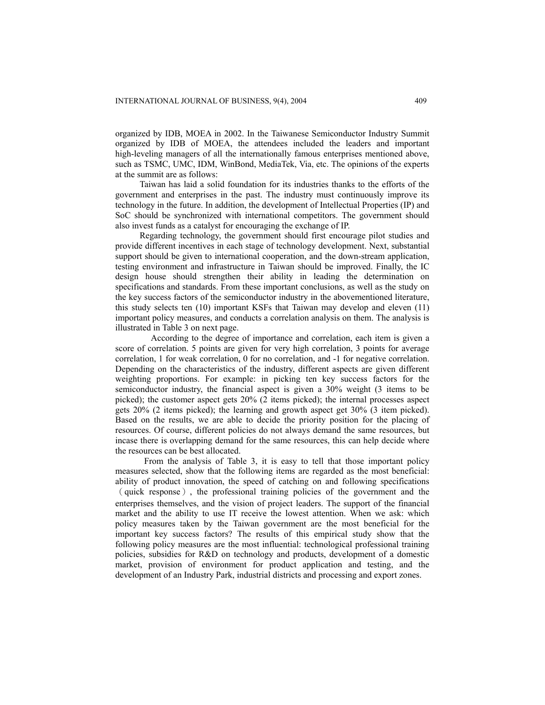organized by IDB, MOEA in 2002. In the Taiwanese Semiconductor Industry Summit organized by IDB of MOEA, the attendees included the leaders and important high-leveling managers of all the internationally famous enterprises mentioned above, such as TSMC, UMC, IDM, WinBond, MediaTek, Via, etc. The opinions of the experts at the summit are as follows:

Taiwan has laid a solid foundation for its industries thanks to the efforts of the government and enterprises in the past. The industry must continuously improve its technology in the future. In addition, the development of Intellectual Properties (IP) and SoC should be synchronized with international competitors. The government should also invest funds as a catalyst for encouraging the exchange of IP.

Regarding technology, the government should first encourage pilot studies and provide different incentives in each stage of technology development. Next, substantial support should be given to international cooperation, and the down-stream application, testing environment and infrastructure in Taiwan should be improved. Finally, the IC design house should strengthen their ability in leading the determination on specifications and standards. From these important conclusions, as well as the study on the key success factors of the semiconductor industry in the abovementioned literature, this study selects ten (10) important KSFs that Taiwan may develop and eleven (11) important policy measures, and conducts a correlation analysis on them. The analysis is illustrated in Table 3 on next page.

According to the degree of importance and correlation, each item is given a score of correlation. 5 points are given for very high correlation, 3 points for average correlation, 1 for weak correlation, 0 for no correlation, and -1 for negative correlation. Depending on the characteristics of the industry, different aspects are given different weighting proportions. For example: in picking ten key success factors for the semiconductor industry, the financial aspect is given a 30% weight (3 items to be picked); the customer aspect gets 20% (2 items picked); the internal processes aspect gets 20% (2 items picked); the learning and growth aspect get 30% (3 item picked). Based on the results, we are able to decide the priority position for the placing of resources. Of course, different policies do not always demand the same resources, but incase there is overlapping demand for the same resources, this can help decide where the resources can be best allocated.

 From the analysis of Table 3, it is easy to tell that those important policy measures selected, show that the following items are regarded as the most beneficial: ability of product innovation, the speed of catching on and following specifications (quick response), the professional training policies of the government and the enterprises themselves, and the vision of project leaders. The support of the financial market and the ability to use IT receive the lowest attention. When we ask: which policy measures taken by the Taiwan government are the most beneficial for the important key success factors? The results of this empirical study show that the following policy measures are the most influential: technological professional training policies, subsidies for R&D on technology and products, development of a domestic market, provision of environment for product application and testing, and the development of an Industry Park, industrial districts and processing and export zones.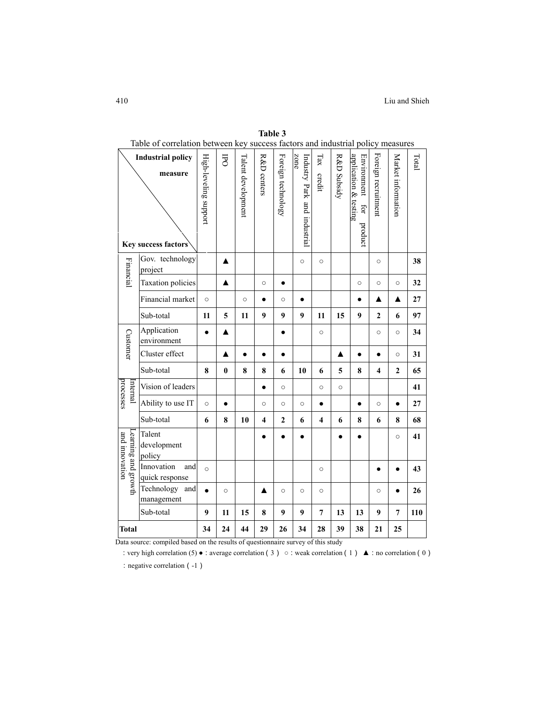| Table of correlation between key success factors and industrial policy measures |                                                            |                       |           |                    |             |                    |                                      |               |             |                                                        |                     |                    |       |
|---------------------------------------------------------------------------------|------------------------------------------------------------|-----------------------|-----------|--------------------|-------------|--------------------|--------------------------------------|---------------|-------------|--------------------------------------------------------|---------------------|--------------------|-------|
|                                                                                 | <b>Industrial policy</b><br>measure<br>Key success factors | High-leveling support | <b>FO</b> | Talent development | R&D centers | Foreign technology | zone<br>Industry Park and industrial | Tax<br>credit | R&D Subsidy | application & testing<br>Environment<br>Ęor<br>product | Foreign recruitment | Market information | Total |
| Financial                                                                       | Gov. technology<br>project                                 |                       | ▲         |                    |             |                    | $\circ$                              | $\circ$       |             |                                                        | $\circ$             |                    | 38    |
|                                                                                 | <b>Taxation</b> policies                                   |                       | ▲         |                    | $\circ$     | $\bullet$          |                                      |               |             | $\circ$                                                | $\circ$             | $\circ$            | 32    |
|                                                                                 | Financial market                                           | $\circ$               |           | $\circ$            | $\bullet$   | $\circ$            | $\bullet$                            |               |             | $\bullet$                                              | ▲                   | ▲                  | 27    |
|                                                                                 | Sub-total                                                  | 11                    | 5         | 11                 | 9           | 9                  | 9                                    | 11            | 15          | 9                                                      | $\mathbf{2}$        | 6                  | 97    |
| Customer                                                                        | Application<br>environment                                 | $\bullet$             | ▲         |                    |             | $\bullet$          |                                      | $\circ$       |             |                                                        | $\circ$             | $\circ$            | 34    |
|                                                                                 | Cluster effect                                             |                       | ▲         | $\bullet$          | $\bullet$   | $\bullet$          |                                      |               | ▲           | $\bullet$                                              |                     | $\circ$            | 31    |
|                                                                                 | Sub-total                                                  | 8                     | $\bf{0}$  | 8                  | 8           | 6                  | 10                                   | 6             | 5           | 8                                                      | 4                   | $\overline{2}$     | 65    |
| processes<br>Internal                                                           | Vision of leaders                                          |                       |           |                    |             | $\circ$            |                                      | $\circ$       | $\circ$     |                                                        |                     |                    | 41    |
|                                                                                 | Ability to use IT                                          | $\circ$               | $\bullet$ |                    | $\circ$     | $\circ$            | $\circ$                              | $\bullet$     |             | $\bullet$                                              | $\circ$             | $\bullet$          | 27    |
|                                                                                 | Sub-total                                                  | 6                     | 8         | 10                 | 4           | $\overline{2}$     | 6                                    | 4             | 6           | 8                                                      | 6                   | 8                  | 68    |
| earning and growth<br>and innovation                                            | Talent<br>development<br>policy                            |                       |           |                    |             |                    |                                      |               |             |                                                        |                     | $\circ$            | 41    |
|                                                                                 | Innovation<br>and<br>quick response                        | $\circ$               |           |                    |             |                    |                                      | $\circ$       |             |                                                        |                     |                    | 43    |
|                                                                                 | Technology and<br>management                               |                       | $\circ$   |                    | ▲           | $\circ$            | $\circ$                              | $\circ$       |             |                                                        | $\circ$             |                    | 26    |
|                                                                                 | Sub-total                                                  | 9                     | 11        | 15                 | 8           | 9                  | 9                                    | 7             | 13          | 13                                                     | 9                   | 7                  | 110   |
| Total                                                                           |                                                            | 34                    | 24        | 44                 | 29          | 26                 | 34                                   | 28            | 39          | 38                                                     | 21                  | 25                 |       |

**Table 3**

Data source: compiled based on the results of questionnaire survey of this study

:very high correlation (5) **●**:average correlation(3) **○**:weak correlation(1) **▲**:no correlation(0) : negative correlation (-1)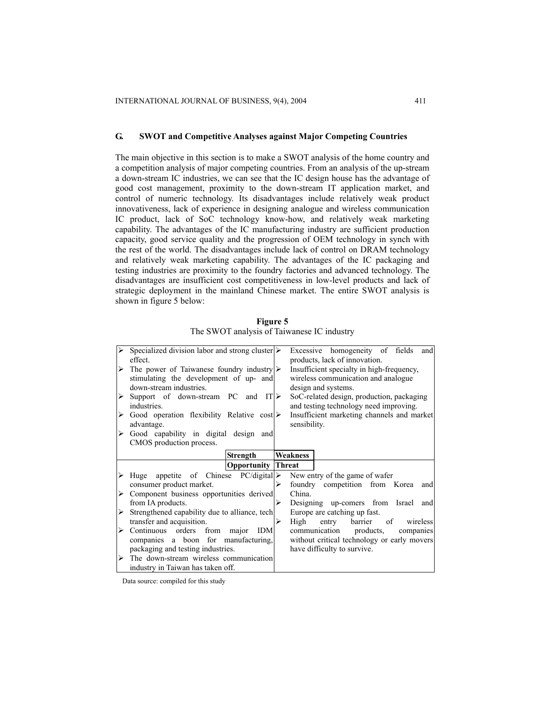#### **G. SWOT and Competitive Analyses against Major Competing Countries**

The main objective in this section is to make a SWOT analysis of the home country and a competition analysis of major competing countries. From an analysis of the up-stream a down-stream IC industries, we can see that the IC design house has the advantage of good cost management, proximity to the down-stream IT application market, and control of numeric technology. Its disadvantages include relatively weak product innovativeness, lack of experience in designing analogue and wireless communication IC product, lack of SoC technology know-how, and relatively weak marketing capability. The advantages of the IC manufacturing industry are sufficient production capacity, good service quality and the progression of OEM technology in synch with the rest of the world. The disadvantages include lack of control on DRAM technology and relatively weak marketing capability. The advantages of the IC packaging and testing industries are proximity to the foundry factories and advanced technology. The disadvantages are insufficient cost competitiveness in low-level products and lack of strategic deployment in the mainland Chinese market. The entire SWOT analysis is shown in figure 5 below:

|   | Specialized division labor and strong cluster $\triangleright$<br>effect. |   | Excessive homogeneity of fields<br>and<br>products, lack of innovation. |
|---|---------------------------------------------------------------------------|---|-------------------------------------------------------------------------|
|   | $\triangleright$ The power of Taiwanese foundry industry $\triangleright$ |   | Insufficient specialty in high-frequency,                               |
|   | stimulating the development of up- and                                    |   | wireless communication and analogue                                     |
|   | down-stream industries.                                                   |   | design and systems.                                                     |
| ➤ | Support of down-stream PC and $IT$                                        |   | SoC-related design, production, packaging                               |
|   | industries.                                                               |   | and testing technology need improving.                                  |
| ➤ | Good operation flexibility Relative cost $\triangleright$                 |   | Insufficient marketing channels and market                              |
|   | advantage.                                                                |   | sensibility.                                                            |
| ➤ | Good capability in digital design and                                     |   |                                                                         |
|   | CMOS production process.                                                  |   |                                                                         |
|   | <b>Strength</b>                                                           |   | <b>Weakness</b>                                                         |
|   | <b>Opportunity Threat</b>                                                 |   |                                                                         |
|   | $\triangleright$ Huge appetite of Chinese PC/digital                      |   | New entry of the game of wafer                                          |
|   | consumer product market.                                                  | ⋗ | foundry competition from Korea<br>and                                   |
| ➤ | Component business opportunities derived                                  |   | China.                                                                  |
|   | from IA products.                                                         | ⋗ | Designing up-comers from Israel<br>and                                  |
| ➤ | Strengthened capability due to alliance, tech                             |   | Europe are catching up fast.                                            |
|   | transfer and acquisition.                                                 | ⋗ | High<br>barrier<br>of<br>entry<br>wireless                              |
| ➤ | Continuous orders<br>from major<br>IDM                                    |   | communication<br>products,<br>companies                                 |
|   | companies a boon for manufacturing,                                       |   | without critical technology or early movers                             |
|   | packaging and testing industries.                                         |   | have difficulty to survive.                                             |
|   | The down-stream wireless communication                                    |   |                                                                         |
|   | industry in Taiwan has taken off.                                         |   |                                                                         |

**Figure 5**  The SWOT analysis of Taiwanese IC industry

Data source: compiled for this study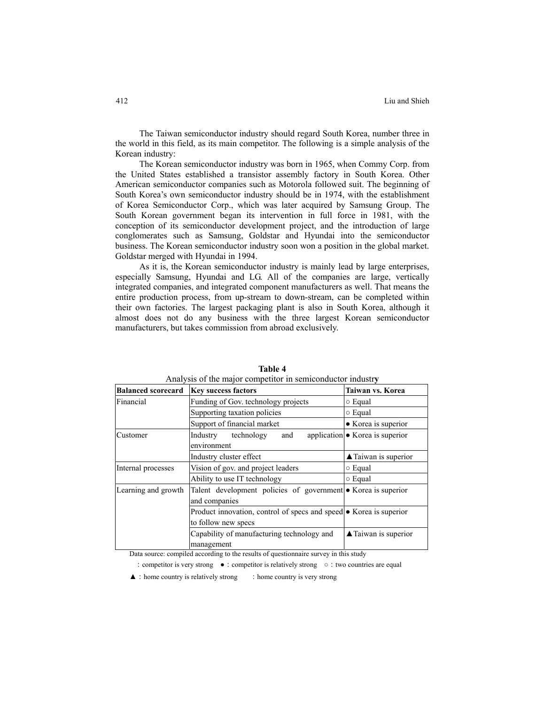The Taiwan semiconductor industry should regard South Korea, number three in the world in this field, as its main competitor. The following is a simple analysis of the Korean industry:

The Korean semiconductor industry was born in 1965, when Commy Corp. from the United States established a transistor assembly factory in South Korea. Other American semiconductor companies such as Motorola followed suit. The beginning of South Korea's own semiconductor industry should be in 1974, with the establishment of Korea Semiconductor Corp., which was later acquired by Samsung Group. The South Korean government began its intervention in full force in 1981, with the conception of its semiconductor development project, and the introduction of large conglomerates such as Samsung, Goldstar and Hyundai into the semiconductor business. The Korean semiconductor industry soon won a position in the global market. Goldstar merged with Hyundai in 1994.

As it is, the Korean semiconductor industry is mainly lead by large enterprises, especially Samsung, Hyundai and LG. All of the companies are large, vertically integrated companies, and integrated component manufacturers as well. That means the entire production process, from up-stream to down-stream, can be completed within their own factories. The largest packaging plant is also in South Korea, although it almost does not do any business with the three largest Korean semiconductor manufacturers, but takes commission from abroad exclusively.

| <b>Balanced scorecard</b> | <b>Key success factors</b>                                                     | Taiwan vs. Korea                        |  |  |  |  |  |
|---------------------------|--------------------------------------------------------------------------------|-----------------------------------------|--|--|--|--|--|
| Financial                 | Funding of Gov. technology projects                                            | $\circ$ Equal                           |  |  |  |  |  |
|                           | Supporting taxation policies                                                   | $\circ$ Equal                           |  |  |  |  |  |
|                           | Support of financial market                                                    | • Korea is superior                     |  |  |  |  |  |
| Customer                  | Industry<br>technology<br>and<br>environment                                   | application $\bullet$ Korea is superior |  |  |  |  |  |
|                           | Industry cluster effect                                                        | ▲ Taiwan is superior                    |  |  |  |  |  |
| Internal processes        | Vision of gov. and project leaders                                             | $\circ$ Equal                           |  |  |  |  |  |
|                           | Ability to use IT technology                                                   | $\circ$ Equal                           |  |  |  |  |  |
| Learning and growth       | Talent development policies of government • Korea is superior<br>and companies |                                         |  |  |  |  |  |
|                           | Product innovation, control of specs and speed • Korea is superior             |                                         |  |  |  |  |  |
|                           | Capability of manufacturing technology and<br>management                       | $\blacktriangle$ Taiwan is superior     |  |  |  |  |  |

**Table 4**  Analysis of the major competitor in semiconductor industr**y** 

Data source: compiled according to the results of questionnaire survey in this study

:competitor is very strong **●**:competitor is relatively strong **○**:two countries are equal

**▲**: home country is relatively strong : home country is very strong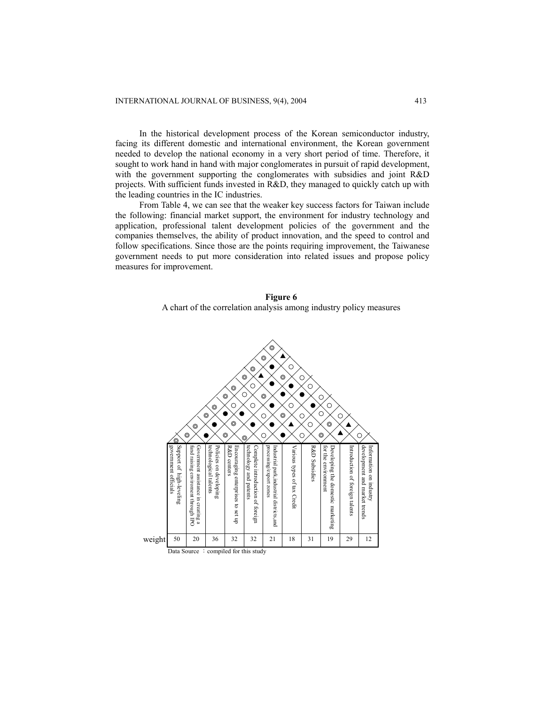In the historical development process of the Korean semiconductor industry, facing its different domestic and international environment, the Korean government needed to develop the national economy in a very short period of time. Therefore, it sought to work hand in hand with major conglomerates in pursuit of rapid development, with the government supporting the conglomerates with subsidies and joint R&D projects. With sufficient funds invested in R&D, they managed to quickly catch up with the leading countries in the IC industries.

From Table 4, we can see that the weaker key success factors for Taiwan include the following: financial market support, the environment for industry technology and application, professional talent development policies of the government and the companies themselves, the ability of product innovation, and the speed to control and follow specifications. Since those are the points requiring improvement, the Taiwanese government needs to put more consideration into related issues and propose policy measures for improvement.

## **Figure 6**

A chart of the correlation analysis among industry policy measures

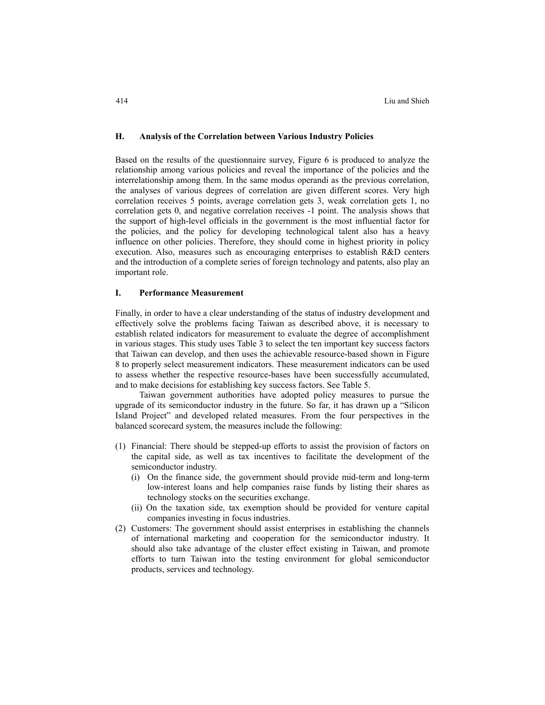#### **H. Analysis of the Correlation between Various Industry Policies**

Based on the results of the questionnaire survey, Figure 6 is produced to analyze the relationship among various policies and reveal the importance of the policies and the interrelationship among them. In the same modus operandi as the previous correlation, the analyses of various degrees of correlation are given different scores. Very high correlation receives 5 points, average correlation gets 3, weak correlation gets 1, no correlation gets 0, and negative correlation receives -1 point. The analysis shows that the support of high-level officials in the government is the most influential factor for the policies, and the policy for developing technological talent also has a heavy influence on other policies. Therefore, they should come in highest priority in policy execution. Also, measures such as encouraging enterprises to establish R&D centers and the introduction of a complete series of foreign technology and patents, also play an important role.

#### **I. Performance Measurement**

Finally, in order to have a clear understanding of the status of industry development and effectively solve the problems facing Taiwan as described above, it is necessary to establish related indicators for measurement to evaluate the degree of accomplishment in various stages. This study uses Table 3 to select the ten important key success factors that Taiwan can develop, and then uses the achievable resource-based shown in Figure 8 to properly select measurement indicators. These measurement indicators can be used to assess whether the respective resource-bases have been successfully accumulated, and to make decisions for establishing key success factors. See Table 5.

Taiwan government authorities have adopted policy measures to pursue the upgrade of its semiconductor industry in the future. So far, it has drawn up a "Silicon Island Project" and developed related measures. From the four perspectives in the balanced scorecard system, the measures include the following:

- (1) Financial: There should be stepped-up efforts to assist the provision of factors on the capital side, as well as tax incentives to facilitate the development of the semiconductor industry.
	- (i) On the finance side, the government should provide mid-term and long-term low-interest loans and help companies raise funds by listing their shares as technology stocks on the securities exchange.
	- (ii) On the taxation side, tax exemption should be provided for venture capital companies investing in focus industries.
- (2) Customers: The government should assist enterprises in establishing the channels of international marketing and cooperation for the semiconductor industry. It should also take advantage of the cluster effect existing in Taiwan, and promote efforts to turn Taiwan into the testing environment for global semiconductor products, services and technology.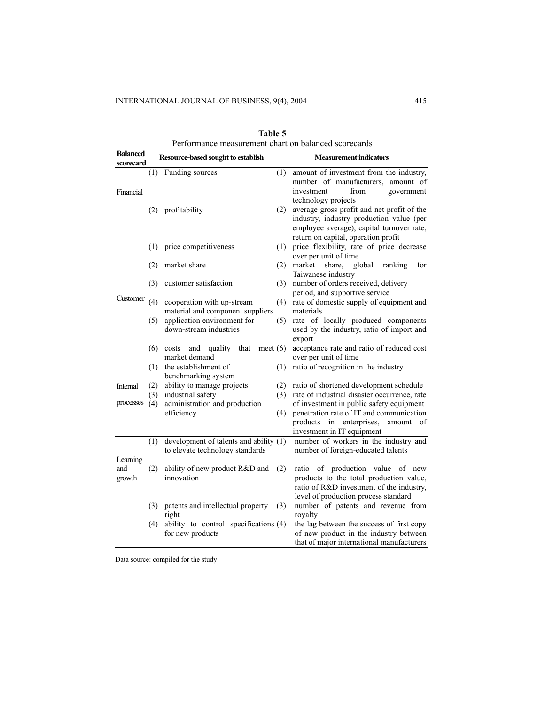| <b>Balanced</b> |            | Performance measurement chart on balanced scorecards     |                                                                                         |
|-----------------|------------|----------------------------------------------------------|-----------------------------------------------------------------------------------------|
| scorecard       |            | Resource-based sought to establish                       | <b>Measurement indicators</b>                                                           |
|                 | (1)        | Funding sources<br>(1)                                   | amount of investment from the industry,<br>number of manufacturers,<br>amount of        |
| Financial       |            |                                                          | investment<br>from<br>government                                                        |
|                 |            |                                                          | technology projects                                                                     |
|                 |            | (2) profitability<br>(2)                                 | average gross profit and net profit of the<br>industry, industry production value (per  |
|                 |            |                                                          | employee average), capital turnover rate,                                               |
|                 |            |                                                          | return on capital, operation profit                                                     |
|                 | (1)        | (1)<br>price competitiveness                             | price flexibility, rate of price decrease                                               |
|                 |            |                                                          | over per unit of time                                                                   |
|                 | (2)        | market share<br>(2)                                      | market<br>share.<br>global<br>ranking<br>for                                            |
|                 |            |                                                          | Taiwanese industry                                                                      |
| Customer        | (3)        | customer satisfaction<br>(3)                             | number of orders received, delivery<br>period, and supportive service                   |
|                 | (4)        | cooperation with up-stream<br>(4)                        | rate of domestic supply of equipment and                                                |
|                 |            | material and component suppliers                         | materials                                                                               |
|                 | (5)        | application environment for<br>(5)                       | rate of locally produced components                                                     |
|                 |            | down-stream industries                                   | used by the industry, ratio of import and                                               |
|                 |            |                                                          | export                                                                                  |
|                 |            | (6) costs and quality that<br>meet $(6)$                 | acceptance rate and ratio of reduced cost                                               |
|                 |            | market demand                                            | over per unit of time                                                                   |
|                 | (1)        | the establishment of<br>(1)                              | ratio of recognition in the industry                                                    |
|                 |            | benchmarking system<br>ability to manage projects<br>(2) |                                                                                         |
| Internal        | (2)<br>(3) | industrial safety<br>(3)                                 | ratio of shortened development schedule<br>rate of industrial disaster occurrence, rate |
| processes       | (4)        | administration and production                            | of investment in public safety equipment                                                |
|                 |            | efficiency<br>(4)                                        | penetration rate of IT and communication                                                |
|                 |            |                                                          | products<br>in enterprises,<br>amount<br>οf                                             |
|                 |            |                                                          | investment in IT equipment                                                              |
|                 | (1)        | development of talents and ability (1)                   | number of workers in the industry and                                                   |
|                 |            | to elevate technology standards                          | number of foreign-educated talents                                                      |
| Learning        |            |                                                          |                                                                                         |
| and             | (2)        | ability of new product R&D and<br>(2)<br>innovation      | ratio of production value of new                                                        |
| growth          |            |                                                          | products to the total production value,<br>ratio of R&D investment of the industry,     |
|                 |            |                                                          | level of production process standard                                                    |
|                 |            | (3) patents and intellectual property<br>(3)             | number of patents and revenue from                                                      |
|                 |            | right                                                    | royalty                                                                                 |
|                 | (4)        | ability to control specifications (4)                    | the lag between the success of first copy                                               |
|                 |            | for new products                                         | of new product in the industry between                                                  |
|                 |            |                                                          | that of major international manufacturers                                               |

| Table 5                                              |
|------------------------------------------------------|
| Performance measurement chart on balanced scorecards |

Data source: compiled for the study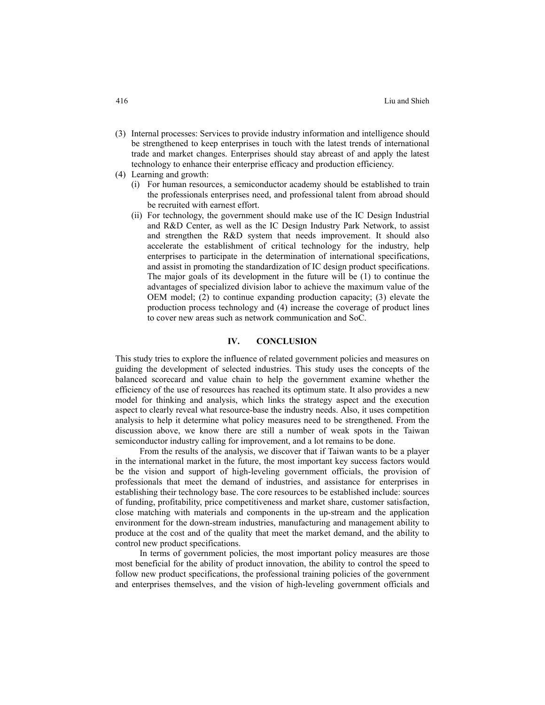- (3) Internal processes: Services to provide industry information and intelligence should be strengthened to keep enterprises in touch with the latest trends of international trade and market changes. Enterprises should stay abreast of and apply the latest technology to enhance their enterprise efficacy and production efficiency.
- (4) Learning and growth:
	- (i) For human resources, a semiconductor academy should be established to train the professionals enterprises need, and professional talent from abroad should be recruited with earnest effort.
	- (ii) For technology, the government should make use of the IC Design Industrial and R&D Center, as well as the IC Design Industry Park Network, to assist and strengthen the R&D system that needs improvement. It should also accelerate the establishment of critical technology for the industry, help enterprises to participate in the determination of international specifications, and assist in promoting the standardization of IC design product specifications. The major goals of its development in the future will be (1) to continue the advantages of specialized division labor to achieve the maximum value of the OEM model; (2) to continue expanding production capacity; (3) elevate the production process technology and (4) increase the coverage of product lines to cover new areas such as network communication and SoC.

#### **IV. CONCLUSION**

This study tries to explore the influence of related government policies and measures on guiding the development of selected industries. This study uses the concepts of the balanced scorecard and value chain to help the government examine whether the efficiency of the use of resources has reached its optimum state. It also provides a new model for thinking and analysis, which links the strategy aspect and the execution aspect to clearly reveal what resource-base the industry needs. Also, it uses competition analysis to help it determine what policy measures need to be strengthened. From the discussion above, we know there are still a number of weak spots in the Taiwan semiconductor industry calling for improvement, and a lot remains to be done.

From the results of the analysis, we discover that if Taiwan wants to be a player in the international market in the future, the most important key success factors would be the vision and support of high-leveling government officials, the provision of professionals that meet the demand of industries, and assistance for enterprises in establishing their technology base. The core resources to be established include: sources of funding, profitability, price competitiveness and market share, customer satisfaction, close matching with materials and components in the up-stream and the application environment for the down-stream industries, manufacturing and management ability to produce at the cost and of the quality that meet the market demand, and the ability to control new product specifications.

In terms of government policies, the most important policy measures are those most beneficial for the ability of product innovation, the ability to control the speed to follow new product specifications, the professional training policies of the government and enterprises themselves, and the vision of high-leveling government officials and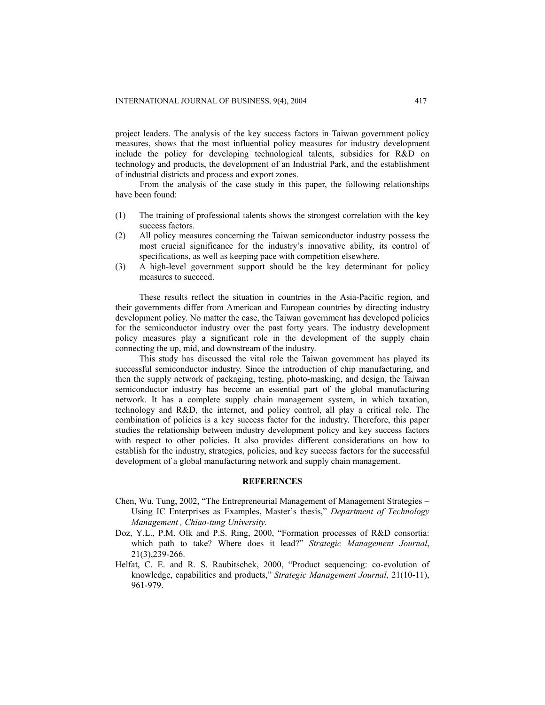project leaders. The analysis of the key success factors in Taiwan government policy measures, shows that the most influential policy measures for industry development include the policy for developing technological talents, subsidies for R&D on technology and products, the development of an Industrial Park, and the establishment of industrial districts and process and export zones.

From the analysis of the case study in this paper, the following relationships have been found:

- (1) The training of professional talents shows the strongest correlation with the key success factors.
- (2) All policy measures concerning the Taiwan semiconductor industry possess the most crucial significance for the industry's innovative ability, its control of specifications, as well as keeping pace with competition elsewhere.
- (3) A high-level government support should be the key determinant for policy measures to succeed.

These results reflect the situation in countries in the Asia-Pacific region, and their governments differ from American and European countries by directing industry development policy. No matter the case, the Taiwan government has developed policies for the semiconductor industry over the past forty years. The industry development policy measures play a significant role in the development of the supply chain connecting the up, mid, and downstream of the industry.

This study has discussed the vital role the Taiwan government has played its successful semiconductor industry. Since the introduction of chip manufacturing, and then the supply network of packaging, testing, photo-masking, and design, the Taiwan semiconductor industry has become an essential part of the global manufacturing network. It has a complete supply chain management system, in which taxation, technology and R&D, the internet, and policy control, all play a critical role. The combination of policies is a key success factor for the industry. Therefore, this paper studies the relationship between industry development policy and key success factors with respect to other policies. It also provides different considerations on how to establish for the industry, strategies, policies, and key success factors for the successful development of a global manufacturing network and supply chain management.

#### **REFERENCES**

- Chen, Wu. Tung, 2002, "The Entrepreneurial Management of Management Strategies − Using IC Enterprises as Examples, Master's thesis," *Department of Technology Management , Chiao-tung University.*
- Doz, Y.L., P.M. Olk and P.S. Ring, 2000, "Formation processes of R&D consortia: which path to take? Where does it lead?" *Strategic Management Journal*, 21(3),239-266.
- Helfat, C. E. and R. S. Raubitschek, 2000, "Product sequencing: co-evolution of knowledge, capabilities and products," *Strategic Management Journal*, 21(10-11), 961-979.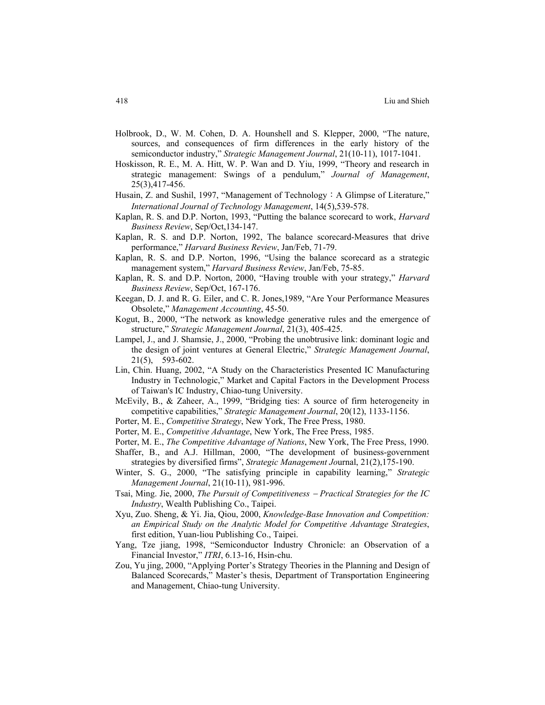- Holbrook, D., W. M. Cohen, D. A. Hounshell and S. Klepper, 2000, "The nature, sources, and consequences of firm differences in the early history of the semiconductor industry," *Strategic Management Journal*, 21(10-11), 1017-1041.
- Hoskisson, R. E., M. A. Hitt, W. P. Wan and D. Yiu, 1999, "Theory and research in strategic management: Swings of a pendulum," *Journal of Management*, 25(3),417-456.
- Husain, Z. and Sushil, 1997, "Management of Technology: A Glimpse of Literature," *International Journal of Technology Management*, 14(5),539-578.
- Kaplan, R. S. and D.P. Norton, 1993, "Putting the balance scorecard to work, *Harvard Business Review*, Sep/Oct,134-147.
- Kaplan, R. S. and D.P. Norton, 1992, The balance scorecard-Measures that drive performance," *Harvard Business Review*, Jan/Feb, 71-79.
- Kaplan, R. S. and D.P. Norton, 1996, "Using the balance scorecard as a strategic management system," *Harvard Business Review*, Jan/Feb, 75-85.
- Kaplan, R. S. and D.P. Norton, 2000, "Having trouble with your strategy," *Harvard Business Review*, Sep/Oct, 167-176.
- Keegan, D. J. and R. G. Eiler, and C. R. Jones,1989, "Are Your Performance Measures Obsolete," *Management Accounting*, 45-50.
- Kogut, B., 2000, "The network as knowledge generative rules and the emergence of structure," *Strategic Management Journal*, 21(3), 405-425.
- Lampel, J., and J. Shamsie, J., 2000, "Probing the unobtrusive link: dominant logic and the design of joint ventures at General Electric," *Strategic Management Journal*, 21(5), 593-602.
- Lin, Chin. Huang, 2002, "A Study on the Characteristics Presented IC Manufacturing Industry in Technologic," Market and Capital Factors in the Development Process of Taiwan's IC Industry, Chiao-tung University.
- McEvily, B., & Zaheer, A., 1999, "Bridging ties: A source of firm heterogeneity in competitive capabilities," *Strategic Management Journal*, 20(12), 1133-1156.
- Porter, M. E., *Competitive Strategy*, New York, The Free Press, 1980.
- Porter, M. E., *Competitive Advantage*, New York, The Free Press, 1985.
- Porter, M. E., *The Competitive Advantage of Nations*, New York, The Free Press, 1990.
- Shaffer, B., and A.J. Hillman, 2000, "The development of business-government strategies by diversified firms", *Strategic Management Jo*urnal, 21(2),175-190.
- Winter, S. G., 2000, "The satisfying principle in capability learning," *Strategic Management Journal*, 21(10-11), 981-996.
- Tsai, Ming. Jie, 2000, *The Pursuit of Competitiveness* − *Practical Strategies for the IC Industry*, Wealth Publishing Co., Taipei.
- Xyu, Zuo. Sheng, & Yi. Jia, Qiou, 2000, *Knowledge-Base Innovation and Competition: an Empirical Study on the Analytic Model for Competitive Advantage Strategies*, first edition, Yuan-liou Publishing Co., Taipei.
- Yang, Tze jiang, 1998, "Semiconductor Industry Chronicle: an Observation of a Financial Investor," *ITRI*, 6.13-16, Hsin-chu.
- Zou, Yu jing, 2000, "Applying Porter's Strategy Theories in the Planning and Design of Balanced Scorecards," Master's thesis, Department of Transportation Engineering and Management, Chiao-tung University.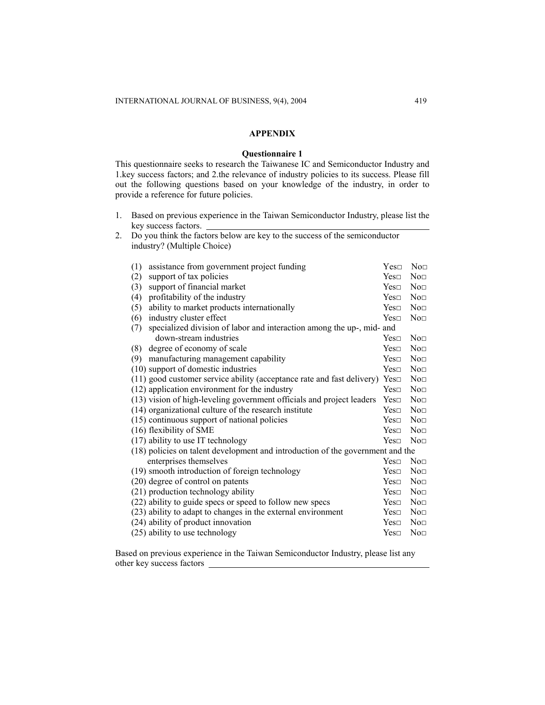## **APPENDIX**

#### **Questionnaire 1**

This questionnaire seeks to research the Taiwanese IC and Semiconductor Industry and 1.key success factors; and 2.the relevance of industry policies to its success. Please fill out the following questions based on your knowledge of the industry, in order to provide a reference for future policies.

- 1. Based on previous experience in the Taiwan Semiconductor Industry, please list the key success factors.
- 2. Do you think the factors below are key to the success of the semiconductor industry? (Multiple Choice)

| (1)<br>assistance from government project funding                                      | Yes <sub>□</sub> | $\text{Non}$    |
|----------------------------------------------------------------------------------------|------------------|-----------------|
| support of tax policies<br>(2)                                                         | Yes <sub>1</sub> | No <sub>□</sub> |
| support of financial market<br>(3)                                                     | Yes <sub>□</sub> | $\text{Non}$    |
| profitability of the industry<br>(4)                                                   | Yes <sub>□</sub> | No <sub>□</sub> |
| ability to market products internationally<br>(5)                                      | Yes <sub>□</sub> | No <sub>□</sub> |
| industry cluster effect<br>(6)                                                         | Yes <sub>⊓</sub> | No <sub>□</sub> |
| specialized division of labor and interaction among the up-, mid- and<br>(7)           |                  |                 |
| down-stream industries                                                                 | Yes <sub>□</sub> | No <sub>□</sub> |
| degree of economy of scale<br>(8)                                                      | Yes <sub>□</sub> | No <sub>□</sub> |
| manufacturing management capability<br>(9)                                             | Yes <sub>□</sub> | No <sub>□</sub> |
| (10) support of domestic industries                                                    | Yes <sub>⊓</sub> | Non             |
| $(11)$ good customer service ability (acceptance rate and fast delivery) Yes $\square$ |                  | No <sub>□</sub> |
| (12) application environment for the industry                                          | Yes <sub>1</sub> | No <sub>□</sub> |
| (13) vision of high-leveling government officials and project leaders                  | Yes <sub>1</sub> | Non             |
| (14) organizational culture of the research institute                                  | Yes <sub>□</sub> | No <sub>□</sub> |
| (15) continuous support of national policies                                           | Yes <sub>⊓</sub> | No <sub>□</sub> |
| (16) flexibility of SME                                                                | Yes <sub>□</sub> | $\text{Non}$    |
| (17) ability to use IT technology                                                      | Yes <sub>□</sub> | No <sub>D</sub> |
| (18) policies on talent development and introduction of the government and the         |                  |                 |
| enterprises themselves                                                                 | Yes <sub>□</sub> | $\rm No$        |
| (19) smooth introduction of foreign technology                                         | Yes <sub>□</sub> | No <sub>□</sub> |
| (20) degree of control on patents                                                      | Yes <sub>1</sub> | $\text{Non}$    |
| (21) production technology ability                                                     | Yes <sub>□</sub> | No <sub>□</sub> |
| (22) ability to guide specs or speed to follow new specs                               | Yes <sub>□</sub> | No <sub>D</sub> |
| (23) ability to adapt to changes in the external environment                           | Yes <sub>□</sub> | $\text{Non}$    |
| (24) ability of product innovation                                                     | Yes <sub>□</sub> | No <sub>□</sub> |
| (25) ability to use technology                                                         | Yes <sub>□</sub> | $\rm No$        |

Based on previous experience in the Taiwan Semiconductor Industry, please list any other key success factors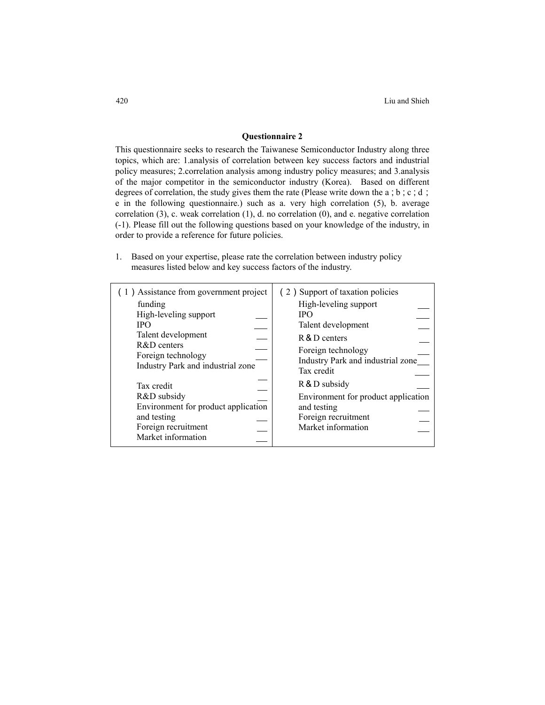## **Questionnaire 2**

This questionnaire seeks to research the Taiwanese Semiconductor Industry along three topics, which are: 1.analysis of correlation between key success factors and industrial policy measures; 2.correlation analysis among industry policy measures; and 3.analysis of the major competitor in the semiconductor industry (Korea). Based on different degrees of correlation, the study gives them the rate (Please write down the a; b;c;d; e in the following questionnaire.) such as a. very high correlation (5), b. average correlation (3), c. weak correlation (1), d. no correlation (0), and e. negative correlation (-1). Please fill out the following questions based on your knowledge of the industry, in order to provide a reference for future policies.

1. Based on your expertise, please rate the correlation between industry policy measures listed below and key success factors of the industry.

| (1) Assistance from government project                                                                                       | (2) Support of taxation policies                                                                                 |
|------------------------------------------------------------------------------------------------------------------------------|------------------------------------------------------------------------------------------------------------------|
| funding                                                                                                                      | High-leveling support                                                                                            |
| High-leveling support                                                                                                        | <b>IPO</b>                                                                                                       |
| <b>IPO</b>                                                                                                                   | Talent development                                                                                               |
| Talent development                                                                                                           | R & D centers                                                                                                    |
| $R&D$ centers                                                                                                                | Foreign technology                                                                                               |
| Foreign technology                                                                                                           | Industry Park and industrial zone                                                                                |
| Industry Park and industrial zone                                                                                            | Tax credit                                                                                                       |
| Tax credit<br>R&D subsidy<br>Environment for product application<br>and testing<br>Foreign recruitment<br>Market information | R & D subsidy<br>Environment for product application<br>and testing<br>Foreign recruitment<br>Market information |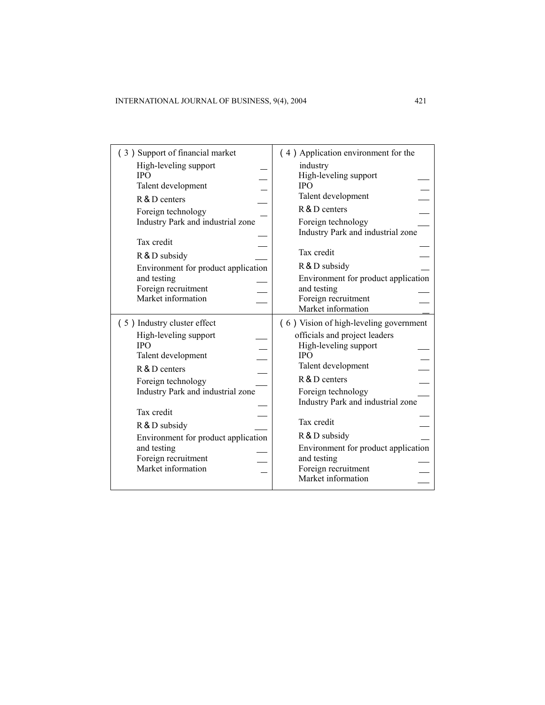| (3) Support of financial market<br>High-leveling support<br><b>IPO</b><br>Talent development<br>R & D centers<br>Foreign technology<br>Industry Park and industrial zone<br>Tax credit<br>R & D subsidy                                                                                                | (4) Application environment for the<br>industry<br>High-leveling support<br><b>IPO</b><br>Talent development<br>R & D centers<br>Foreign technology<br>Industry Park and industrial zone<br>Tax credit                                                                                                                                             |
|--------------------------------------------------------------------------------------------------------------------------------------------------------------------------------------------------------------------------------------------------------------------------------------------------------|----------------------------------------------------------------------------------------------------------------------------------------------------------------------------------------------------------------------------------------------------------------------------------------------------------------------------------------------------|
| Environment for product application<br>and testing<br>Foreign recruitment<br>Market information                                                                                                                                                                                                        | R & D subsidy<br>Environment for product application<br>and testing<br>Foreign recruitment<br>Market information                                                                                                                                                                                                                                   |
| (5) Industry cluster effect<br>High-leveling support<br><b>IPO</b><br>Talent development<br>R & D centers<br>Foreign technology<br>Industry Park and industrial zone<br>Tax credit<br>R & D subsidy<br>Environment for product application<br>and testing<br>Foreign recruitment<br>Market information | (6) Vision of high-leveling government<br>officials and project leaders<br>High-leveling support<br><b>IPO</b><br>Talent development<br>R & D centers<br>Foreign technology<br>Industry Park and industrial zone<br>Tax credit<br>R & D subsidy<br>Environment for product application<br>and testing<br>Foreign recruitment<br>Market information |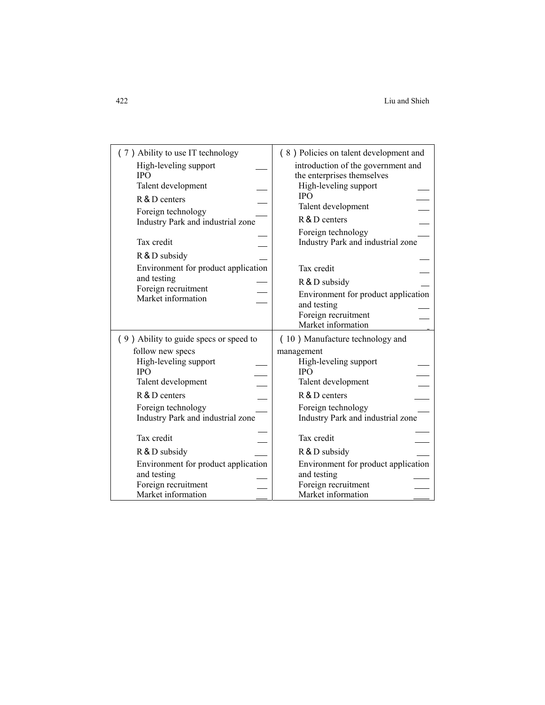| (7) Ability to use IT technology                                                                | (8) Policies on talent development and                                                                                         |
|-------------------------------------------------------------------------------------------------|--------------------------------------------------------------------------------------------------------------------------------|
| High-leveling support                                                                           | introduction of the government and                                                                                             |
| <b>IPO</b>                                                                                      | the enterprises themselves                                                                                                     |
| Talent development                                                                              | High-leveling support                                                                                                          |
| R & D centers                                                                                   | <b>IPO</b>                                                                                                                     |
| Foreign technology                                                                              | Talent development                                                                                                             |
| Industry Park and industrial zone                                                               | R & D centers                                                                                                                  |
| Tax credit                                                                                      | Foreign technology                                                                                                             |
| R & D subsidy                                                                                   | Industry Park and industrial zone                                                                                              |
| Environment for product application<br>and testing<br>Foreign recruitment<br>Market information | Tax credit<br>R & D subsidy<br>Environment for product application<br>and testing<br>Foreign recruitment<br>Market information |
| (9) Ability to guide specs or speed to                                                          | (10) Manufacture technology and                                                                                                |
| follow new specs                                                                                | management                                                                                                                     |
| High-leveling support                                                                           | High-leveling support                                                                                                          |
| <b>IPO</b>                                                                                      | <b>IPO</b>                                                                                                                     |
| Talent development                                                                              | Talent development                                                                                                             |
| R & D centers                                                                                   | R & D centers                                                                                                                  |
| Foreign technology                                                                              | Foreign technology                                                                                                             |
| Industry Park and industrial zone                                                               | Industry Park and industrial zone                                                                                              |
| Tax credit                                                                                      | Tax credit                                                                                                                     |
| R & D subsidy                                                                                   | R & D subsidy                                                                                                                  |
| Environment for product application                                                             | Environment for product application                                                                                            |
| and testing                                                                                     | and testing                                                                                                                    |
| Foreign recruitment                                                                             | Foreign recruitment                                                                                                            |
| Market information                                                                              | Market information                                                                                                             |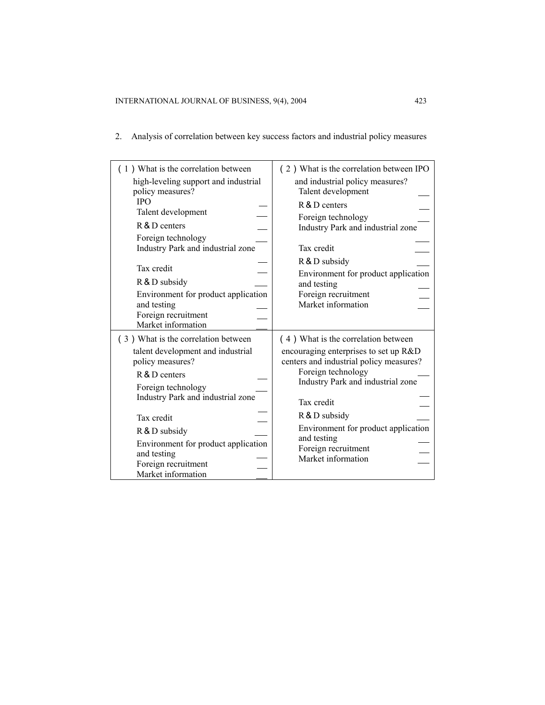2. Analysis of correlation between key success factors and industrial policy measures

| (1) What is the correlation between<br>high-leveling support and industrial<br>policy measures?<br><b>IPO</b><br>Talent development<br>R & D centers<br>Foreign technology<br>Industry Park and industrial zone<br>Tax credit<br>R & D subsidy<br>Environment for product application<br>and testing<br>Foreign recruitment<br>Market information | (2) What is the correlation between IPO<br>and industrial policy measures?<br>Talent development<br>R & D centers<br>Foreign technology<br>Industry Park and industrial zone<br>Tax credit<br>R & D subsidy<br>Environment for product application<br>and testing<br>Foreign recruitment<br>Market information       |
|---------------------------------------------------------------------------------------------------------------------------------------------------------------------------------------------------------------------------------------------------------------------------------------------------------------------------------------------------|----------------------------------------------------------------------------------------------------------------------------------------------------------------------------------------------------------------------------------------------------------------------------------------------------------------------|
| (3) What is the correlation between<br>talent development and industrial<br>policy measures?<br>R & D centers<br>Foreign technology<br>Industry Park and industrial zone<br>Tax credit<br>R & D subsidy<br>Environment for product application<br>and testing<br>Foreign recruitment<br>Market information                                        | (4) What is the correlation between<br>encouraging enterprises to set up R&D<br>centers and industrial policy measures?<br>Foreign technology<br>Industry Park and industrial zone<br>Tax credit<br>R & D subsidy<br>Environment for product application<br>and testing<br>Foreign recruitment<br>Market information |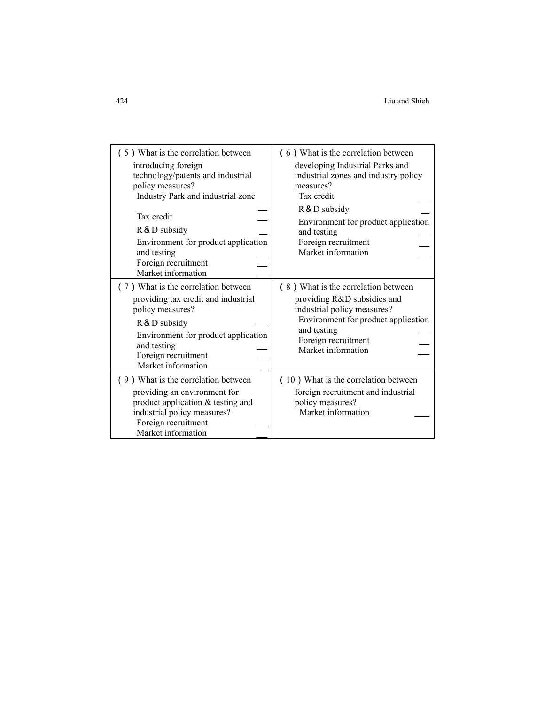| (5) What is the correlation between<br>introducing foreign<br>technology/patents and industrial<br>policy measures?<br>Industry Park and industrial zone<br>Tax credit<br>R & D subsidy<br>Environment for product application<br>and testing<br>Foreign recruitment<br>Market information | (6) What is the correlation between<br>developing Industrial Parks and<br>industrial zones and industry policy<br>measures?<br>Tax credit<br>R & D subsidy<br>Environment for product application<br>and testing<br>Foreign recruitment<br>Market information |
|--------------------------------------------------------------------------------------------------------------------------------------------------------------------------------------------------------------------------------------------------------------------------------------------|---------------------------------------------------------------------------------------------------------------------------------------------------------------------------------------------------------------------------------------------------------------|
| (7) What is the correlation between<br>providing tax credit and industrial<br>policy measures?<br>R & D subsidy<br>Environment for product application<br>and testing<br>Foreign recruitment<br>Market information                                                                         | (8) What is the correlation between<br>providing R&D subsidies and<br>industrial policy measures?<br>Environment for product application<br>and testing<br>Foreign recruitment<br>Market information                                                          |
| (9) What is the correlation between<br>providing an environment for<br>product application & testing and<br>industrial policy measures?<br>Foreign recruitment<br>Market information                                                                                                       | (10) What is the correlation between<br>foreign recruitment and industrial<br>policy measures?<br>Market information                                                                                                                                          |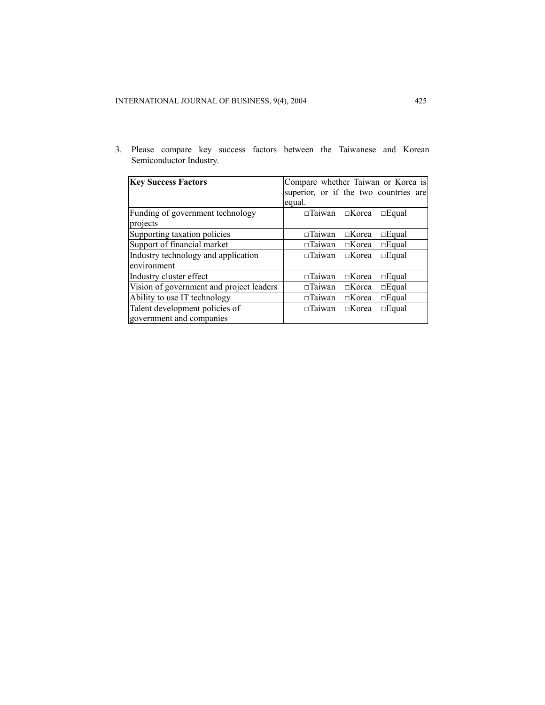3. Please compare key success factors between the Taiwanese and Korean Semiconductor Industry.

| <b>Key Success Factors</b>               | Compare whether Taiwan or Korea is               |
|------------------------------------------|--------------------------------------------------|
|                                          | superior, or if the two countries are            |
|                                          | equal.                                           |
| Funding of government technology         | $\Box$ Taiwan $\Box$ Korea<br>$\Box$ Equal       |
| projects                                 |                                                  |
| Supporting taxation policies             | $\Box$ Korea<br>$\Box$ Equal<br>$\Box$ Taiwan    |
| Support of financial market              | $\Box$ Taiwan $\Box$ Korea<br>$\square$ Equal    |
| Industry technology and application      | $\Box$ Taiwan $\Box$ Korea<br>$\Box$ Equal       |
| environment                              |                                                  |
| Industry cluster effect                  | $\Box$ Taiwan<br>$\Box$ Korea<br>$\Box$ Equal    |
| Vision of government and project leaders | $\Box$ Equal<br>$\square$ Taiwan<br>$\Box$ Korea |
| Ability to use IT technology             | $\Box$ Taiwan<br>$\square$ Equal<br>$\Box$ Korea |
| Talent development policies of           | $\Box$ Equal<br>$\Box$ Korea<br>$\Box$ Taiwan    |
| government and companies                 |                                                  |